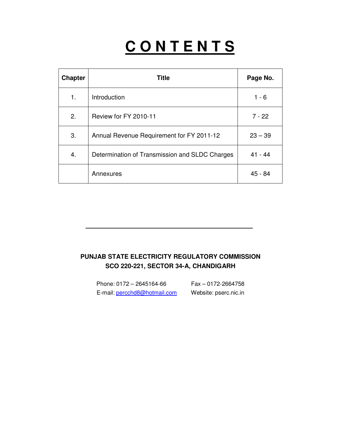# **C O N T E N T S**

| <b>Chapter</b> | <b>Title</b>                                   | Page No.  |
|----------------|------------------------------------------------|-----------|
| 1.             | Introduction                                   | $1 - 6$   |
| 2.             | Review for FY 2010-11                          | $7 - 22$  |
| 3.             | Annual Revenue Requirement for FY 2011-12      | $23 - 39$ |
| 4.             | Determination of Transmission and SLDC Charges | $41 - 44$ |
|                | Annexures                                      | 45 - 84   |

# **PUNJAB STATE ELECTRICITY REGULATORY COMMISSION SCO 220-221, SECTOR 34-A, CHANDIGARH**

Phone: 0172 – 2645164-66 Fax – 0172-2664758 E-mail: percchd8@hotmail.com Website: pserc.nic.in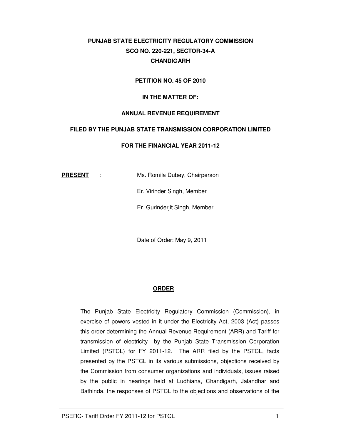# **PUNJAB STATE ELECTRICITY REGULATORY COMMISSION SCO NO. 220-221, SECTOR-34-A CHANDIGARH**

#### **PETITION NO. 45 OF 2010**

#### **IN THE MATTER OF:**

#### **ANNUAL REVENUE REQUIREMENT**

#### **FILED BY THE PUNJAB STATE TRANSMISSION CORPORATION LIMITED**

#### **FOR THE FINANCIAL YEAR 2011-12**

**PRESENT** : Ms. Romila Dubey, Chairperson

Er. Virinder Singh, Member

Er. Gurinderjit Singh, Member

Date of Order: May 9, 2011

#### **ORDER**

The Punjab State Electricity Regulatory Commission (Commission), in exercise of powers vested in it under the Electricity Act, 2003 (Act) passes this order determining the Annual Revenue Requirement (ARR) and Tariff for transmission of electricity by the Punjab State Transmission Corporation Limited (PSTCL) for FY 2011-12. The ARR filed by the PSTCL, facts presented by the PSTCL in its various submissions, objections received by the Commission from consumer organizations and individuals, issues raised by the public in hearings held at Ludhiana, Chandigarh, Jalandhar and Bathinda, the responses of PSTCL to the objections and observations of the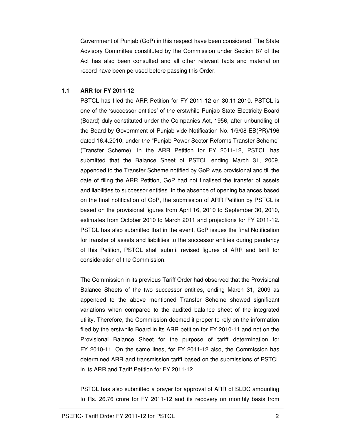Government of Punjab (GoP) in this respect have been considered. The State Advisory Committee constituted by the Commission under Section 87 of the Act has also been consulted and all other relevant facts and material on record have been perused before passing this Order.

#### **1.1 ARR for FY 2011-12**

PSTCL has filed the ARR Petition for FY 2011-12 on 30.11.2010. PSTCL is one of the 'successor entities' of the erstwhile Punjab State Electricity Board (Board) duly constituted under the Companies Act, 1956, after unbundling of the Board by Government of Punjab vide Notification No. 1/9/08-EB(PR)/196 dated 16.4.2010, under the "Punjab Power Sector Reforms Transfer Scheme" (Transfer Scheme). In the ARR Petition for FY 2011-12, PSTCL has submitted that the Balance Sheet of PSTCL ending March 31, 2009, appended to the Transfer Scheme notified by GoP was provisional and till the date of filing the ARR Petition, GoP had not finalised the transfer of assets and liabilities to successor entities. In the absence of opening balances based on the final notification of GoP, the submission of ARR Petition by PSTCL is based on the provisional figures from April 16, 2010 to September 30, 2010, estimates from October 2010 to March 2011 and projections for FY 2011-12. PSTCL has also submitted that in the event, GoP issues the final Notification for transfer of assets and liabilities to the successor entities during pendency of this Petition, PSTCL shall submit revised figures of ARR and tariff for consideration of the Commission.

The Commission in its previous Tariff Order had observed that the Provisional Balance Sheets of the two successor entities, ending March 31, 2009 as appended to the above mentioned Transfer Scheme showed significant variations when compared to the audited balance sheet of the integrated utility. Therefore, the Commission deemed it proper to rely on the information filed by the erstwhile Board in its ARR petition for FY 2010-11 and not on the Provisional Balance Sheet for the purpose of tariff determination for FY 2010-11. On the same lines, for FY 2011-12 also, the Commission has determined ARR and transmission tariff based on the submissions of PSTCL in its ARR and Tariff Petition for FY 2011-12.

PSTCL has also submitted a prayer for approval of ARR of SLDC amounting to Rs. 26.76 crore for FY 2011-12 and its recovery on monthly basis from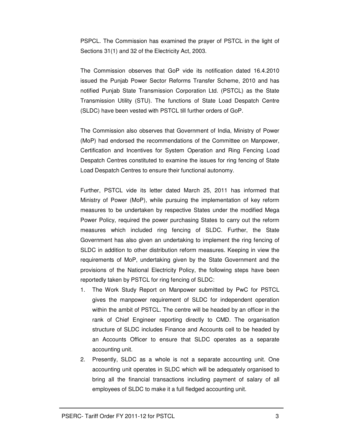PSPCL. The Commission has examined the prayer of PSTCL in the light of Sections 31(1) and 32 of the Electricity Act, 2003.

The Commission observes that GoP vide its notification dated 16.4.2010 issued the Punjab Power Sector Reforms Transfer Scheme, 2010 and has notified Punjab State Transmission Corporation Ltd. (PSTCL) as the State Transmission Utility (STU). The functions of State Load Despatch Centre (SLDC) have been vested with PSTCL till further orders of GoP.

The Commission also observes that Government of India, Ministry of Power (MoP) had endorsed the recommendations of the Committee on Manpower, Certification and Incentives for System Operation and Ring Fencing Load Despatch Centres constituted to examine the issues for ring fencing of State Load Despatch Centres to ensure their functional autonomy.

Further, PSTCL vide its letter dated March 25, 2011 has informed that Ministry of Power (MoP), while pursuing the implementation of key reform measures to be undertaken by respective States under the modified Mega Power Policy, required the power purchasing States to carry out the reform measures which included ring fencing of SLDC. Further, the State Government has also given an undertaking to implement the ring fencing of SLDC in addition to other distribution reform measures. Keeping in view the requirements of MoP, undertaking given by the State Government and the provisions of the National Electricity Policy, the following steps have been reportedly taken by PSTCL for ring fencing of SLDC:

- 1. The Work Study Report on Manpower submitted by PwC for PSTCL gives the manpower requirement of SLDC for independent operation within the ambit of PSTCL. The centre will be headed by an officer in the rank of Chief Engineer reporting directly to CMD. The organisation structure of SLDC includes Finance and Accounts cell to be headed by an Accounts Officer to ensure that SLDC operates as a separate accounting unit.
- 2. Presently, SLDC as a whole is not a separate accounting unit. One accounting unit operates in SLDC which will be adequately organised to bring all the financial transactions including payment of salary of all employees of SLDC to make it a full fledged accounting unit.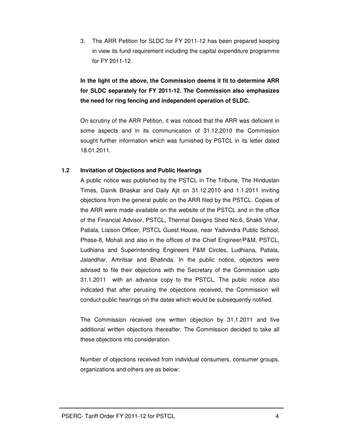3. The ARR Petition for SLDC for FY 2011-12 has been prepared keeping in view its fund requirement including the capital expenditure programme for FY 2011-12.

**In the light of the above, the Commission deems it fit to determine ARR for SLDC separately for FY 2011-12. The Commission also emphasizes the need for ring fencing and independent operation of SLDC.** 

On scrutiny of the ARR Petition, it was noticed that the ARR was deficient in some aspects and in its communication of 31.12.2010 the Commission sought further information which was furnished by PSTCL in its letter dated 18.01.2011.

#### **1.2 Invitation of Objections and Public Hearings**

A public notice was published by the PSTCL in The Tribune, The Hindustan Times, Dainik Bhaskar and Daily Ajit on 31.12.2010 and 1.1.2011 inviting objections from the general public on the ARR filed by the PSTCL. Copies of the ARR were made available on the website of the PSTCL and in the office of the Financial Advisor, PSTCL, Thermal Designs Shed No.6, Shakti Vihar, Patiala, Liaison Officer, PSTCL Guest House, near Yadvindra Public School, Phase-8, Mohali and also in the offices of the Chief Engineer/P&M, PSTCL, Ludhiana and Superintending Engineers P&M Circles, Ludhiana, Patiala, Jalandhar, Amritsar and Bhatinda. In the public notice, objectors were advised to file their objections with the Secretary of the Commission upto 31.1.2011 with an advance copy to the PSTCL. The public notice also indicated that after perusing the objections received, the Commission will conduct public hearings on the dates which would be subsequently notified.

The Commission received one written objection by 31.1.2011 and five additional written objections thereafter. The Commission decided to take all these objections into consideration.

Number of objections received from individual consumers, consumer groups, organizations and others are as below: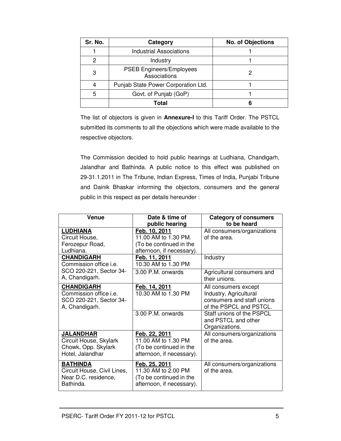| Sr. No. | Category                                        | <b>No. of Objections</b> |
|---------|-------------------------------------------------|--------------------------|
|         | <b>Industrial Associations</b>                  |                          |
| 2       | Industry                                        |                          |
| 3       | <b>PSEB Engineers/Employees</b><br>Associations |                          |
|         | Punjab State Power Corporation Ltd.             |                          |
| 5       | Govt. of Punjab (GoP)                           |                          |
|         | Total                                           |                          |

The list of objectors is given in **Annexure-I** to this Tariff Order. The PSTCL submitted its comments to all the objections which were made available to the respective objectors.

The Commission decided to hold public hearings at Ludhiana, Chandigarh, Jalandhar and Bathinda. A public notice to this effect was published on 29-31.1.2011 in The Tribune, Indian Express, Times of India, Punjabi Tribune and Dainik Bhaskar informing the objectors, consumers and the general public in this respect as per details hereunder :

| Venue                                     | Date & time of            | <b>Category of consumers</b> |
|-------------------------------------------|---------------------------|------------------------------|
|                                           | public hearing            | to be heard                  |
| <b>LUDHIANA</b>                           | Feb. 10, 2011             | All consumers/organizations  |
| Circuit House,                            | 11.00 AM to 1.30 PM.      | of the area.                 |
| Ferozepur Road,                           | (To be continued in the   |                              |
| Ludhiana.                                 | afternoon, if necessary). |                              |
| <b>CHANDIGARH</b>                         | Feb. 11, 2011             | Industry                     |
| Commission office <i>i.e.</i>             | 10.30 AM to 1.30 PM       |                              |
| SCO 220-221, Sector 34-<br>A, Chandigarh. | 3.00 P.M. onwards         | Agricultural consumers and   |
|                                           |                           | their unions.                |
| <b>CHANDIGARH</b>                         | Feb. 14, 2011             | All consumers except         |
| Commission office i.e.                    | 10.30 AM to 1.30 PM       | Industry, Agricultural       |
| SCO 220-221, Sector 34-                   |                           | consumers and staff unions   |
| A, Chandigarh.                            |                           | of the PSPCL and PSTCL.      |
|                                           | 3.00 P.M. onwards         | Staff unions of the PSPCL    |
|                                           |                           | and PSTCL and other          |
|                                           |                           | Organizations.               |
| <b>JALANDHAR</b>                          | Feb. 22, 2011             | All consumers/organizations  |
| Circuit House, Skylark                    | 11.00 AM to 1.30 PM       | of the area.                 |
| Chowk, Opp. Skylark                       | (To be continued in the   |                              |
| Hotel, Jalandhar                          | afternoon, if necessary). |                              |
| <b>BATHINDA</b>                           | Feb. 25, 2011             | All consumers/organizations  |
| Circuit House, Civil Lines,               | 11.30 AM to 2.00 PM       | of the area.                 |
| Near D.C. residence,                      | (To be continued in the   |                              |
| Bathinda.                                 | afternoon, if necessary). |                              |
|                                           |                           |                              |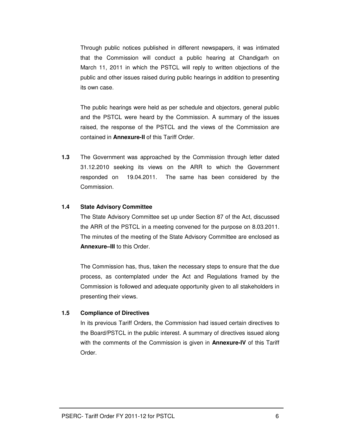Through public notices published in different newspapers, it was intimated that the Commission will conduct a public hearing at Chandigarh on March 11, 2011 in which the PSTCL will reply to written objections of the public and other issues raised during public hearings in addition to presenting its own case.

The public hearings were held as per schedule and objectors, general public and the PSTCL were heard by the Commission. A summary of the issues raised, the response of the PSTCL and the views of the Commission are contained in **Annexure-II** of this Tariff Order.

**1.3** The Government was approached by the Commission through letter dated 31.12.2010 seeking its views on the ARR to which the Government responded on 19.04.2011. The same has been considered by the Commission.

#### **1.4 State Advisory Committee**

The State Advisory Committee set up under Section 87 of the Act, discussed the ARR of the PSTCL in a meeting convened for the purpose on 8.03.2011. The minutes of the meeting of the State Advisory Committee are enclosed as **Annexure–III** to this Order.

The Commission has, thus, taken the necessary steps to ensure that the due process, as contemplated under the Act and Regulations framed by the Commission is followed and adequate opportunity given to all stakeholders in presenting their views.

#### **1.5 Compliance of Directives**

In its previous Tariff Orders, the Commission had issued certain directives to the Board/PSTCL in the public interest. A summary of directives issued along with the comments of the Commission is given in **Annexure-IV** of this Tariff Order.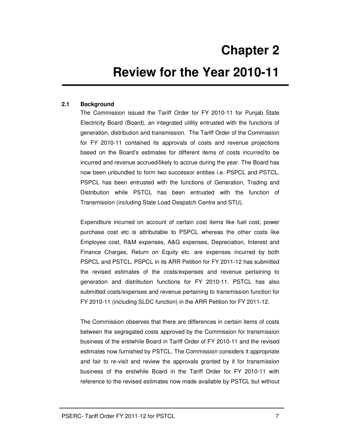# **2 Chapter 2**

# **Review for the Year 2010-11**

### **2.1 Background**

The Commission issued the Tariff Order for FY 2010-11 for Punjab State Electricity Board (Board), an integrated utility entrusted with the functions of generation, distribution and transmission. The Tariff Order of the Commission for FY 2010-11 contained its approvals of costs and revenue projections based on the Board's estimates for different items of costs incurred/to be incurred and revenue accrued/likely to accrue during the year. The Board has now been unbundled to form two successor entities i.e. PSPCL and PSTCL. PSPCL has been entrusted with the functions of Generation, Trading and Distribution while PSTCL has been entrusted with the function of Transmission (including State Load Despatch Centre and STU).

Expenditure incurred on account of certain cost items like fuel cost, power purchase cost etc is attributable to PSPCL whereas the other costs like Employee cost, R&M expenses, A&G expenses, Depreciation, Interest and Finance Charges, Return on Equity etc. are expenses incurred by both PSPCL and PSTCL. PSPCL in its ARR Petition for FY 2011-12 has submitted the revised estimates of the costs/expenses and revenue pertaining to generation and distribution functions for FY 2010-11. PSTCL has also submitted costs/expenses and revenue pertaining to transmission function for FY 2010-11 (including SLDC function) in the ARR Petition for FY 2011-12.

The Commission observes that there are differences in certain items of costs between the segregated costs approved by the Commission for transmission business of the erstwhile Board in Tariff Order of FY 2010-11 and the revised estimates now furnished by PSTCL. The Commission considers it appropriate and fair to re-visit and review the approvals granted by it for transmission business of the erstwhile Board in the Tariff Order for FY 2010-11 with reference to the revised estimates now made available by PSTCL but without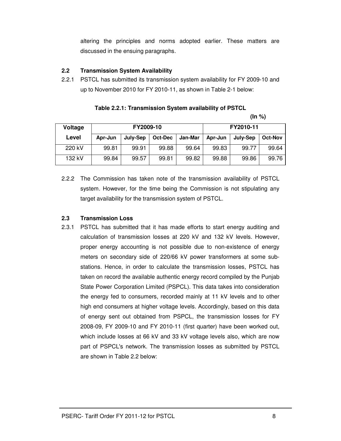altering the principles and norms adopted earlier. These matters are discussed in the ensuing paragraphs.

#### **2.2 Transmission System Availability**

2.2.1 PSTCL has submitted its transmission system availability for FY 2009-10 and up to November 2010 for FY 2010-11, as shown in Table 2-1 below:

**(In %)** 

| Voltage | FY2009-10 |          |         |         |         |          | FY2010-11      |  |
|---------|-----------|----------|---------|---------|---------|----------|----------------|--|
| Level   | Apr-Jun   | July-Sep | Oct-Dec | Jan-Mar | Apr-Jun | July-Sep | <b>Oct-Nov</b> |  |
| 220 kV  | 99.81     | 99.91    | 99.88   | 99.64   | 99.83   | 99.77    | 99.64          |  |
| 132 kV  | 99.84     | 99.57    | 99.81   | 99.82   | 99.88   | 99.86    | 99.76          |  |

2.2.2 The Commission has taken note of the transmission availability of PSTCL system. However, for the time being the Commission is not stipulating any target availability for the transmission system of PSTCL.

### **2.3 Transmission Loss**

2.3.1 PSTCL has submitted that it has made efforts to start energy auditing and calculation of transmission losses at 220 kV and 132 kV levels. However, proper energy accounting is not possible due to non-existence of energy meters on secondary side of 220/66 kV power transformers at some substations. Hence, in order to calculate the transmission losses, PSTCL has taken on record the available authentic energy record compiled by the Punjab State Power Corporation Limited (PSPCL). This data takes into consideration the energy fed to consumers, recorded mainly at 11 kV levels and to other high end consumers at higher voltage levels. Accordingly, based on this data of energy sent out obtained from PSPCL, the transmission losses for FY 2008-09, FY 2009-10 and FY 2010-11 (first quarter) have been worked out, which include losses at 66 kV and 33 kV voltage levels also, which are now part of PSPCL's network. The transmission losses as submitted by PSTCL are shown in Table 2.2 below: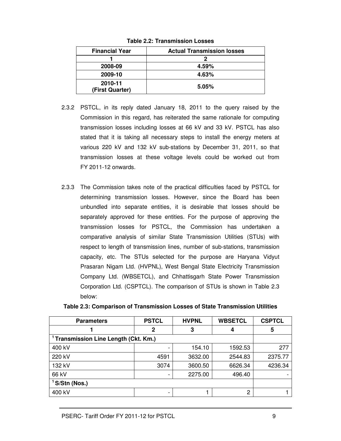| <b>Financial Year</b>      | <b>Actual Transmission losses</b> |
|----------------------------|-----------------------------------|
|                            |                                   |
| 2008-09                    | 4.59%                             |
| 2009-10                    | 4.63%                             |
| 2010-11<br>(First Quarter) | 5.05%                             |

**Table 2.2: Transmission Losses** 

- 2.3.2 PSTCL, in its reply dated January 18, 2011 to the query raised by the Commission in this regard, has reiterated the same rationale for computing transmission losses including losses at 66 kV and 33 kV. PSTCL has also stated that it is taking all necessary steps to install the energy meters at various 220 kV and 132 kV sub-stations by December 31, 2011, so that transmission losses at these voltage levels could be worked out from FY 2011-12 onwards.
- 2.3.3 The Commission takes note of the practical difficulties faced by PSTCL for determining transmission losses. However, since the Board has been unbundled into separate entities, it is desirable that losses should be separately approved for these entities. For the purpose of approving the transmission losses for PSTCL, the Commission has undertaken a comparative analysis of similar State Transmission Utilities (STUs) with respect to length of transmission lines, number of sub-stations, transmission capacity, etc. The STUs selected for the purpose are Haryana Vidyut Prasaran Nigam Ltd. (HVPNL), West Bengal State Electricity Transmission Company Ltd. (WBSETCL), and Chhattisgarh State Power Transmission Corporation Ltd. (CSPTCL). The comparison of STUs is shown in Table 2.3 below:

| <b>Parameters</b>                                | <b>PSTCL</b> | <b>HVPNL</b> | <b>WBSETCL</b> | <b>CSPTCL</b> |  |
|--------------------------------------------------|--------------|--------------|----------------|---------------|--|
|                                                  | 2            | 3            | 4              | 5             |  |
| <sup>1</sup> Transmission Line Length (Ckt. Km.) |              |              |                |               |  |
| 400 kV                                           |              | 154.10       | 1592.53        | 277           |  |
| 220 kV                                           | 4591         | 3632.00      | 2544.83        | 2375.77       |  |
| 132 kV                                           | 3074         | 3600.50      | 6626.34        | 4236.34       |  |
| 66 kV                                            |              | 2275.00      | 496.40         |               |  |
| <sup>1</sup> S/Stn (Nos.)                        |              |              |                |               |  |
| 400 kV                                           |              |              | າ              |               |  |

| Table 2.3: Comparison of Transmission Losses of State Transmission Utilities |  |  |  |
|------------------------------------------------------------------------------|--|--|--|
|------------------------------------------------------------------------------|--|--|--|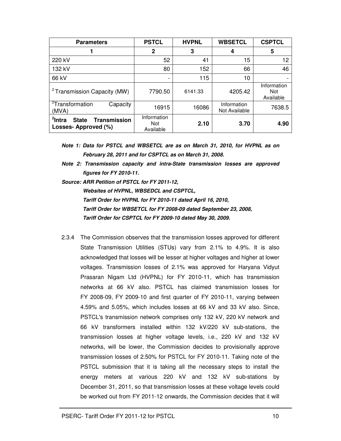| <b>Parameters</b>                                                                | <b>PSTCL</b>                           | <b>HVPNL</b> | <b>WBSETCL</b>               | <b>CSPTCL</b>                   |
|----------------------------------------------------------------------------------|----------------------------------------|--------------|------------------------------|---------------------------------|
|                                                                                  | 2                                      | 3            | 4                            | 5                               |
| 220 kV                                                                           | 52                                     | 41           | 15                           | 12                              |
| 132 kV                                                                           | 80                                     | 152          | 66                           | 46                              |
| 66 kV                                                                            |                                        | 115          | 10                           |                                 |
| <sup>2</sup> Transmission Capacity (MW)                                          | 7790.50                                | 6141.33      | 4205.42                      | Information<br>Not<br>Available |
| <sup>2</sup> Transformation<br>Capacity<br>(MVA)                                 | 16915                                  | 16086        | Information<br>Not Available | 7638.5                          |
| <sup>2</sup> Intra<br><b>Transmission</b><br><b>State</b><br>Losses-Approved (%) | Information<br><b>Not</b><br>Available | 2.10         | 3.70                         | 4.90                            |

*Note 1: Data for PSTCL and WBSETCL are as on March 31, 2010, for HVPNL as on February 28, 2011 and for CSPTCL as on March 31, 2008.* 

- *Note 2: Transmission capacity and intra-State transmission losses are approved figures for FY 2010-11.*
- *Source: ARR Petition of PSTCL for FY 2011-12, Websites of HVPNL, WBSEDCL and CSPTCL, Tariff Order for HVPNL for FY 2010-11 dated April 16, 2010, Tariff Order for WBSETCL for FY 2008-09 dated September 23, 2008, Tariff Order for CSPTCL for FY 2009-10 dated May 30, 2009.*
- 2.3.4 The Commission observes that the transmission losses approved for different State Transmission Utilities (STUs) vary from 2.1% to 4.9%. It is also acknowledged that losses will be lesser at higher voltages and higher at lower voltages. Transmission losses of 2.1% was approved for Haryana Vidyut Prasaran Nigam Ltd (HVPNL) for FY 2010-11, which has transmission networks at 66 kV also. PSTCL has claimed transmission losses for FY 2008-09, FY 2009-10 and first quarter of FY 2010-11, varying between 4.59% and 5.05%, which includes losses at 66 kV and 33 kV also. Since, PSTCL's transmission network comprises only 132 kV, 220 kV network and 66 kV transformers installed within 132 kV/220 kV sub-stations, the transmission losses at higher voltage levels, i.e., 220 kV and 132 kV networks, will be lower, the Commission decides to provisionally approve transmission losses of 2.50% for PSTCL for FY 2010-11. Taking note of the PSTCL submission that it is taking all the necessary steps to install the energy meters at various 220 kV and 132 kV sub-stations by December 31, 2011, so that transmission losses at these voltage levels could be worked out from FY 2011-12 onwards, the Commission decides that it will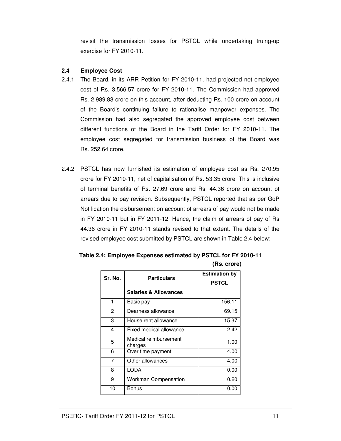revisit the transmission losses for PSTCL while undertaking truing-up exercise for FY 2010-11.

#### **2.4 Employee Cost**

- 2.4.1 The Board, in its ARR Petition for FY 2010-11, had projected net employee cost of Rs. 3,566.57 crore for FY 2010-11. The Commission had approved Rs. 2,989.83 crore on this account, after deducting Rs. 100 crore on account of the Board's continuing failure to rationalise manpower expenses. The Commission had also segregated the approved employee cost between different functions of the Board in the Tariff Order for FY 2010-11. The employee cost segregated for transmission business of the Board was Rs. 252.64 crore.
- 2.4.2 PSTCL has now furnished its estimation of employee cost as Rs. 270.95 crore for FY 2010-11, net of capitalisation of Rs. 53.35 crore. This is inclusive of terminal benefits of Rs. 27.69 crore and Rs. 44.36 crore on account of arrears due to pay revision. Subsequently, PSTCL reported that as per GoP Notification the disbursement on account of arrears of pay would not be made in FY 2010-11 but in FY 2011-12. Hence, the claim of arrears of pay of Rs 44.36 crore in FY 2010-11 stands revised to that extent. The details of the revised employee cost submitted by PSTCL are shown in Table 2.4 below:

| Sr. No. | <b>Particulars</b>               | <b>Estimation by</b><br><b>PSTCL</b> |
|---------|----------------------------------|--------------------------------------|
|         | <b>Salaries &amp; Allowances</b> |                                      |
| 1       | Basic pay                        | 156.11                               |
| 2       | Dearness allowance               | 69.15                                |
| 3       | House rent allowance             | 15.37                                |
| 4       | Fixed medical allowance          | 2.42                                 |
| 5       | Medical reimbursement<br>charges | 1.00                                 |
| 6       | Over time payment                | 4.00                                 |
| 7       | Other allowances                 | 4.00                                 |
| 8       | LODA                             | 0.00                                 |
| 9       | <b>Workman Compensation</b>      | 0.20                                 |
| 10      | Bonus                            | 0.00                                 |

#### **Table 2.4: Employee Expenses estimated by PSTCL for FY 2010-11 (Rs. crore)**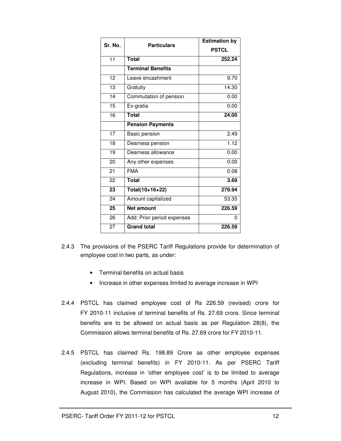| Sr. No.         |                            | <b>Estimation by</b> |
|-----------------|----------------------------|----------------------|
|                 | <b>Particulars</b>         | <b>PSTCL</b>         |
| 11              | <b>Total</b>               | 252.24               |
|                 | <b>Terminal Benefits</b>   |                      |
| $\overline{12}$ | Leave encashment           | 9.70                 |
| $\overline{13}$ | Gratuity                   | 14.30                |
| 14              | Commutation of pension     | 0.00                 |
| $\overline{15}$ | Ex-gratia                  | 0.00                 |
| 16              | <b>Total</b>               | 24.00                |
|                 | <b>Pension Payments</b>    |                      |
| 17              | Basic pension              | 2.49                 |
| 18              | Dearness pension           | 1.12                 |
| $\overline{19}$ | Dearness allowance         | 0.00                 |
| 20              | Any other expenses         | 0.00                 |
| 21              | <b>FMA</b>                 | 0.08                 |
| 22              | <b>Total</b>               | 3.69                 |
| 23              | Total(10+16+22)            | 279.94               |
| 24              | Amount capitalized         | 53.35                |
| 25              | <b>Net amount</b>          | 226.59               |
| 26              | Add: Prior period expenses | 0                    |
| 27              | Grand total                | 226.59               |

- 2.4.3 The provisions of the PSERC Tariff Regulations provide for determination of employee cost in two parts, as under:
	- Terminal benefits on actual basis
	- Increase in other expenses limited to average increase in WPI
- 2.4.4 PSTCL has claimed employee cost of Rs 226.59 (revised) crore for FY 2010-11 inclusive of terminal benefits of Rs. 27.69 crore. Since terminal benefits are to be allowed on actual basis as per Regulation 28(8), the Commission allows terminal benefits of Rs. 27.69 crore for FY 2010-11.
- 2.4.5 PSTCL has claimed Rs. 198.89 Crore as other employee expenses (excluding terminal benefits) in FY 2010-11. As per PSERC Tariff Regulations, increase in 'other employee cost' is to be limited to average increase in WPI. Based on WPI available for 5 months (April 2010 to August 2010), the Commission has calculated the average WPI increase of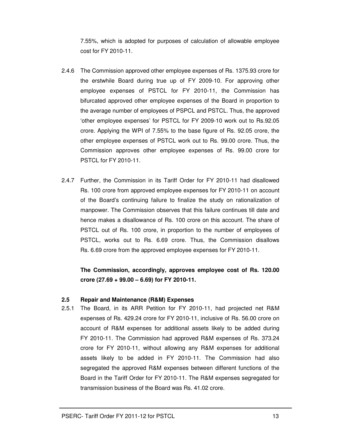7.55%, which is adopted for purposes of calculation of allowable employee cost for FY 2010-11.

- 2.4.6 The Commission approved other employee expenses of Rs. 1375.93 crore for the erstwhile Board during true up of FY 2009-10. For approving other employee expenses of PSTCL for FY 2010-11, the Commission has bifurcated approved other employee expenses of the Board in proportion to the average number of employees of PSPCL and PSTCL. Thus, the approved 'other employee expenses' for PSTCL for FY 2009-10 work out to Rs.92.05 crore. Applying the WPI of 7.55% to the base figure of Rs. 92.05 crore, the other employee expenses of PSTCL work out to Rs. 99.00 crore. Thus, the Commission approves other employee expenses of Rs. 99.00 crore for PSTCL for FY 2010-11.
- 2.4.7 Further, the Commission in its Tariff Order for FY 2010-11 had disallowed Rs. 100 crore from approved employee expenses for FY 2010-11 on account of the Board's continuing failure to finalize the study on rationalization of manpower. The Commission observes that this failure continues till date and hence makes a disallowance of Rs. 100 crore on this account. The share of PSTCL out of Rs. 100 crore, in proportion to the number of employees of PSTCL, works out to Rs. 6.69 crore. Thus, the Commission disallows Rs. 6.69 crore from the approved employee expenses for FY 2010-11.

**The Commission, accordingly, approves employee cost of Rs. 120.00 crore (27.69 + 99.00 – 6.69) for FY 2010-11.** 

#### **2.5 Repair and Maintenance (R&M) Expenses**

2.5.1 The Board, in its ARR Petition for FY 2010-11, had projected net R&M expenses of Rs. 429.24 crore for FY 2010-11, inclusive of Rs. 56.00 crore on account of R&M expenses for additional assets likely to be added during FY 2010-11. The Commission had approved R&M expenses of Rs. 373.24 crore for FY 2010-11, without allowing any R&M expenses for additional assets likely to be added in FY 2010-11. The Commission had also segregated the approved R&M expenses between different functions of the Board in the Tariff Order for FY 2010-11. The R&M expenses segregated for transmission business of the Board was Rs. 41.02 crore.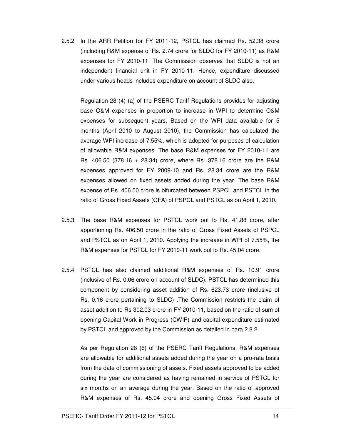2.5.2 In the ARR Petition for FY 2011-12, PSTCL has claimed Rs. 52.38 crore (including R&M expense of Rs. 2.74 crore for SLDC for FY 2010-11) as R&M expenses for FY 2010-11. The Commission observes that SLDC is not an independent financial unit in FY 2010-11. Hence, expenditure discussed under various heads includes expenditure on account of SLDC also.

Regulation 28 (4) (a) of the PSERC Tariff Regulations provides for adjusting base O&M expenses in proportion to increase in WPI to determine O&M expenses for subsequent years. Based on the WPI data available for 5 months (April 2010 to August 2010), the Commission has calculated the average WPI increase of 7.55%, which is adopted for purposes of calculation of allowable R&M expenses. The base R&M expenses for FY 2010-11 are Rs. 406.50 (378.16 + 28.34) crore, where Rs. 378.16 crore are the R&M expenses approved for FY 2009-10 and Rs. 28.34 crore are the R&M expenses allowed on fixed assets added during the year. The base R&M expense of Rs. 406.50 crore is bifurcated between PSPCL and PSTCL in the ratio of Gross Fixed Assets (GFA) of PSPCL and PSTCL as on April 1, 2010.

- 2.5.3 The base R&M expenses for PSTCL work out to Rs. 41.88 crore, after apportioning Rs. 406.50 crore in the ratio of Gross Fixed Assets of PSPCL and PSTCL as on April 1, 2010. Applying the increase in WPI of 7.55%, the R&M expenses for PSTCL for FY 2010-11 work out to Rs. 45.04 crore.
- 2.5.4 PSTCL has also claimed additional R&M expenses of Rs. 10.91 crore (inclusive of Rs. 0.06 crore on account of SLDC). PSTCL has determined this component by considering asset addition of Rs. 623.73 crore (inclusive of Rs. 0.16 crore pertaining to SLDC) .The Commission restricts the claim of asset addition to Rs 302.03 crore in FY 2010-11, based on the ratio of sum of opening Capital Work in Progress (CWIP) and capital expenditure estimated by PSTCL and approved by the Commission as detailed in para 2.8.2.

As per Regulation 28 (6) of the PSERC Tariff Regulations, R&M expenses are allowable for additional assets added during the year on a pro-rata basis from the date of commissioning of assets. Fixed assets approved to be added during the year are considered as having remained in service of PSTCL for six months on an average during the year. Based on the ratio of approved R&M expenses of Rs. 45.04 crore and opening Gross Fixed Assets of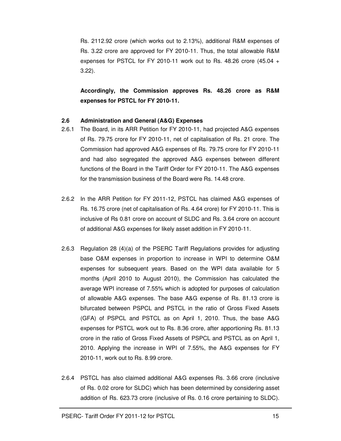Rs. 2112.92 crore (which works out to 2.13%), additional R&M expenses of Rs. 3.22 crore are approved for FY 2010-11. Thus, the total allowable R&M expenses for PSTCL for FY 2010-11 work out to Rs. 48.26 crore (45.04 + 3.22).

**Accordingly, the Commission approves Rs. 48.26 crore as R&M expenses for PSTCL for FY 2010-11.** 

#### **2.6 Administration and General (A&G) Expenses**

- 2.6.1 The Board, in its ARR Petition for FY 2010-11, had projected A&G expenses of Rs. 79.75 crore for FY 2010-11, net of capitalisation of Rs. 21 crore. The Commission had approved A&G expenses of Rs. 79.75 crore for FY 2010-11 and had also segregated the approved A&G expenses between different functions of the Board in the Tariff Order for FY 2010-11. The A&G expenses for the transmission business of the Board were Rs. 14.48 crore.
- 2.6.2 In the ARR Petition for FY 2011-12, PSTCL has claimed A&G expenses of Rs. 16.75 crore (net of capitalisation of Rs. 4.64 crore) for FY 2010-11. This is inclusive of Rs 0.81 crore on account of SLDC and Rs. 3.64 crore on account of additional A&G expenses for likely asset addition in FY 2010-11.
- 2.6.3 Regulation 28 (4)(a) of the PSERC Tariff Regulations provides for adjusting base O&M expenses in proportion to increase in WPI to determine O&M expenses for subsequent years. Based on the WPI data available for 5 months (April 2010 to August 2010), the Commission has calculated the average WPI increase of 7.55% which is adopted for purposes of calculation of allowable A&G expenses. The base A&G expense of Rs. 81.13 crore is bifurcated between PSPCL and PSTCL in the ratio of Gross Fixed Assets (GFA) of PSPCL and PSTCL as on April 1, 2010. Thus, the base A&G expenses for PSTCL work out to Rs. 8.36 crore, after apportioning Rs. 81.13 crore in the ratio of Gross Fixed Assets of PSPCL and PSTCL as on April 1, 2010. Applying the increase in WPI of 7.55%, the A&G expenses for FY 2010-11, work out to Rs. 8.99 crore.
- 2.6.4 PSTCL has also claimed additional A&G expenses Rs. 3.66 crore (inclusive of Rs. 0.02 crore for SLDC) which has been determined by considering asset addition of Rs. 623.73 crore (inclusive of Rs. 0.16 crore pertaining to SLDC).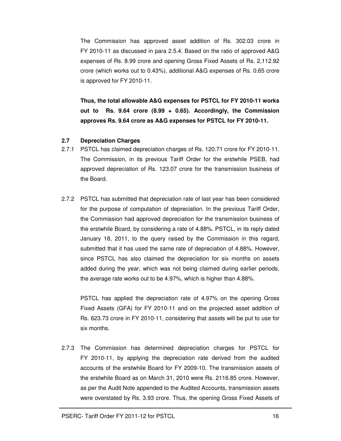The Commission has approved asset addition of Rs. 302.03 crore in FY 2010-11 as discussed in para 2.5.4. Based on the ratio of approved A&G expenses of Rs. 8.99 crore and opening Gross Fixed Assets of Rs. 2,112.92 crore (which works out to 0.43%), additional A&G expenses of Rs. 0.65 crore is approved for FY 2010-11.

**Thus, the total allowable A&G expenses for PSTCL for FY 2010-11 works out to Rs. 9.64 crore (8.99 + 0.65). Accordingly, the Commission approves Rs. 9.64 crore as A&G expenses for PSTCL for FY 2010-11.**

#### **2.7 Depreciation Charges**

- 2.7.1 PSTCL has claimed depreciation charges of Rs. 120.71 crore for FY 2010-11. The Commission, in its previous Tariff Order for the erstwhile PSEB, had approved depreciation of Rs. 123.07 crore for the transmission business of the Board.
- 2.7.2 PSTCL has submitted that depreciation rate of last year has been considered for the purpose of computation of depreciation. In the previous Tariff Order, the Commission had approved depreciation for the transmission business of the erstwhile Board, by considering a rate of 4.88%. PSTCL, in its reply dated January 18, 2011, to the query raised by the Commission in this regard, submitted that it has used the same rate of depreciation of 4.88%. However, since PSTCL has also claimed the depreciation for six months on assets added during the year, which was not being claimed during earlier periods, the average rate works out to be 4.97%, which is higher than 4.88%.

PSTCL has applied the depreciation rate of 4.97% on the opening Gross Fixed Assets (GFA) for FY 2010-11 and on the projected asset addition of Rs. 623.73 crore in FY 2010-11, considering that assets will be put to use for six months.

2.7.3 The Commission has determined depreciation charges for PSTCL for FY 2010-11, by applying the depreciation rate derived from the audited accounts of the erstwhile Board for FY 2009-10. The transmission assets of the erstwhile Board as on March 31, 2010 were Rs. 2116.85 crore. However, as per the Audit Note appended to the Audited Accounts, transmission assets were overstated by Rs. 3.93 crore. Thus, the opening Gross Fixed Assets of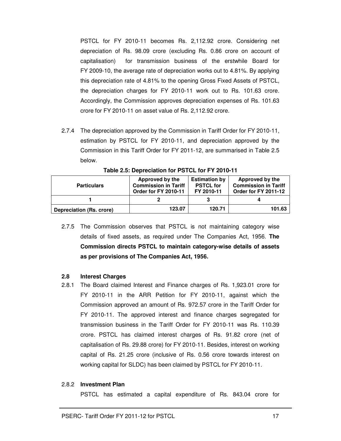PSTCL for FY 2010-11 becomes Rs. 2,112.92 crore. Considering net depreciation of Rs. 98.09 crore (excluding Rs. 0.86 crore on account of capitalisation) for transmission business of the erstwhile Board for FY 2009-10, the average rate of depreciation works out to 4.81%. By applying this depreciation rate of 4.81% to the opening Gross Fixed Assets of PSTCL, the depreciation charges for FY 2010-11 work out to Rs. 101.63 crore. Accordingly, the Commission approves depreciation expenses of Rs. 101.63 crore for FY 2010-11 on asset value of Rs. 2,112.92 crore.

2.7.4 The depreciation approved by the Commission in Tariff Order for FY 2010-11, estimation by PSTCL for FY 2010-11, and depreciation approved by the Commission in this Tariff Order for FY 2011-12, are summarised in Table 2.5 below.

| <b>Particulars</b>       | Approved by the<br><b>Commission in Tariff</b><br>Order for FY 2010-11 | <b>Estimation by</b><br><b>PSTCL for</b><br>FY 2010-11 | Approved by the<br><b>Commission in Tariff</b><br>Order for FY 2011-12 |  |
|--------------------------|------------------------------------------------------------------------|--------------------------------------------------------|------------------------------------------------------------------------|--|
|                          |                                                                        |                                                        |                                                                        |  |
| Depreciation (Rs. crore) | 123.07                                                                 | 120.71                                                 | 101.63                                                                 |  |

**Table 2.5: Depreciation for PSTCL for FY 2010-11** 

2.7.5 The Commission observes that PSTCL is not maintaining category wise details of fixed assets, as required under The Companies Act, 1956. **The Commission directs PSTCL to maintain category-wise details of assets as per provisions of The Companies Act, 1956.** 

#### **2.8 Interest Charges**

2.8.1 The Board claimed Interest and Finance charges of Rs. 1,923.01 crore for FY 2010-11 in the ARR Petition for FY 2010-11, against which the Commission approved an amount of Rs. 972.57 crore in the Tariff Order for FY 2010-11. The approved interest and finance charges segregated for transmission business in the Tariff Order for FY 2010-11 was Rs. 110.39 crore. PSTCL has claimed interest charges of Rs. 91.82 crore (net of capitalisation of Rs. 29.88 crore) for FY 2010-11. Besides, interest on working capital of Rs. 21.25 crore (inclusive of Rs. 0.56 crore towards interest on working capital for SLDC) has been claimed by PSTCL for FY 2010-11.

#### 2.8.2 **Investment Plan**

PSTCL has estimated a capital expenditure of Rs. 843.04 crore for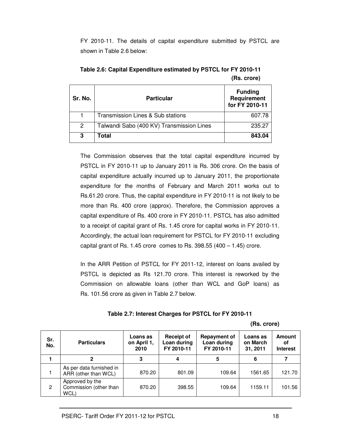FY 2010-11. The details of capital expenditure submitted by PSTCL are shown in Table 2.6 below:

| Sr. No.        | <b>Particular</b>                         | <b>Funding</b><br>Requirement<br>for FY 2010-11 |
|----------------|-------------------------------------------|-------------------------------------------------|
|                | Transmission Lines & Sub stations         | 607.78                                          |
| $\overline{2}$ | Talwandi Sabo (400 KV) Transmission Lines | 235.27                                          |
| 3              | Total                                     | 843.04                                          |

**Table 2.6: Capital Expenditure estimated by PSTCL for FY 2010-11 (Rs. crore)** 

The Commission observes that the total capital expenditure incurred by PSTCL in FY 2010-11 up to January 2011 is Rs. 306 crore. On the basis of capital expenditure actually incurred up to January 2011, the proportionate expenditure for the months of February and March 2011 works out to Rs.61.20 crore. Thus, the capital expenditure in FY 2010-11 is not likely to be more than Rs. 400 crore (approx). Therefore, the Commission approves a capital expenditure of Rs. 400 crore in FY 2010-11. PSTCL has also admitted to a receipt of capital grant of Rs. 1.45 crore for capital works in FY 2010-11. Accordingly, the actual loan requirement for PSTCL for FY 2010-11 excluding capital grant of Rs. 1.45 crore comes to Rs. 398.55  $(400 - 1.45)$  crore.

In the ARR Petition of PSTCL for FY 2011-12, interest on loans availed by PSTCL is depicted as Rs 121.70 crore. This interest is reworked by the Commission on allowable loans (other than WCL and GoP loans) as Rs. 101.56 crore as given in Table 2.7 below.

 **(Rs. crore)** 

| Sr.<br>No. | <b>Particulars</b>                                | Loans as<br>on April 1,<br>2010 | <b>Receipt of</b><br>Loan during<br>FY 2010-11 | <b>Repayment of</b><br>Loan during<br>FY 2010-11 | Loans as<br>on March<br>31, 2011 | <b>Amount</b><br>οf<br><b>Interest</b> |
|------------|---------------------------------------------------|---------------------------------|------------------------------------------------|--------------------------------------------------|----------------------------------|----------------------------------------|
|            | 2                                                 | 3                               |                                                | 5                                                | 6                                |                                        |
|            | As per data furnished in<br>ARR (other than WCL)  | 870.20                          | 801.09                                         | 109.64                                           | 1561.65                          | 121.70                                 |
| 2          | Approved by the<br>Commission (other than<br>WCL) | 870.20                          | 398.55                                         | 109.64                                           | 1159.11                          | 101.56                                 |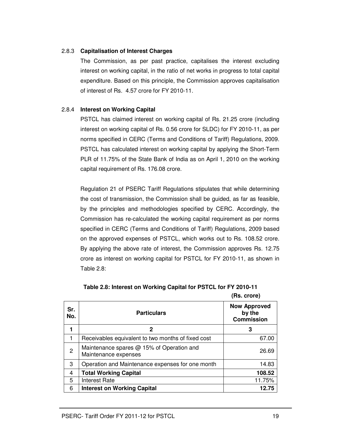#### 2.8.3 **Capitalisation of Interest Charges**

The Commission, as per past practice, capitalises the interest excluding interest on working capital, in the ratio of net works in progress to total capital expenditure. Based on this principle, the Commission approves capitalisation of interest of Rs. 4.57 crore for FY 2010-11.

#### 2.8.4 **Interest on Working Capital**

PSTCL has claimed interest on working capital of Rs. 21.25 crore (including interest on working capital of Rs. 0.56 crore for SLDC) for FY 2010-11, as per norms specified in CERC (Terms and Conditions of Tariff) Regulations, 2009. PSTCL has calculated interest on working capital by applying the Short-Term PLR of 11.75% of the State Bank of India as on April 1, 2010 on the working capital requirement of Rs. 176.08 crore.

Regulation 21 of PSERC Tariff Regulations stipulates that while determining the cost of transmission, the Commission shall be guided, as far as feasible, by the principles and methodologies specified by CERC. Accordingly, the Commission has re-calculated the working capital requirement as per norms specified in CERC (Terms and Conditions of Tariff) Regulations, 2009 based on the approved expenses of PSTCL, which works out to Rs. 108.52 crore. By applying the above rate of interest, the Commission approves Rs. 12.75 crore as interest on working capital for PSTCL for FY 2010-11, as shown in Table 2.8:

| Sr.<br>No. | <b>Particulars</b>                                                | <b>Now Approved</b><br>by the<br><b>Commission</b> |
|------------|-------------------------------------------------------------------|----------------------------------------------------|
|            | 2                                                                 | 3                                                  |
| 1          | Receivables equivalent to two months of fixed cost                | 67.00                                              |
| 2          | Maintenance spares @ 15% of Operation and<br>Maintenance expenses | 26.69                                              |
| 3          | Operation and Maintenance expenses for one month                  | 14.83                                              |
| 4          | <b>Total Working Capital</b>                                      | 108.52                                             |
| 5          | <b>Interest Rate</b>                                              | 11.75%                                             |
| 6          | <b>Interest on Working Capital</b>                                | 12.75                                              |

**(Rs. crore)**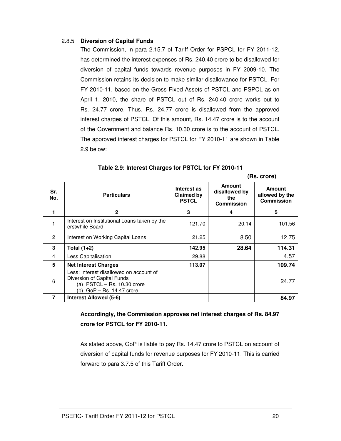#### 2.8.5 **Diversion of Capital Funds**

The Commission, in para 2.15.7 of Tariff Order for PSPCL for FY 2011-12, has determined the interest expenses of Rs. 240.40 crore to be disallowed for diversion of capital funds towards revenue purposes in FY 2009-10. The Commission retains its decision to make similar disallowance for PSTCL. For FY 2010-11, based on the Gross Fixed Assets of PSTCL and PSPCL as on April 1, 2010, the share of PSTCL out of Rs. 240.40 crore works out to Rs. 24.77 crore. Thus, Rs. 24.77 crore is disallowed from the approved interest charges of PSTCL. Of this amount, Rs. 14.47 crore is to the account of the Government and balance Rs. 10.30 crore is to the account of PSTCL. The approved interest charges for PSTCL for FY 2010-11 are shown in Table 2.9 below:

|            |                                                                                                                                       | (Rs. crore)                               |                                                            |                                               |
|------------|---------------------------------------------------------------------------------------------------------------------------------------|-------------------------------------------|------------------------------------------------------------|-----------------------------------------------|
| Sr.<br>No. | <b>Particulars</b>                                                                                                                    | Interest as<br>Claimed by<br><b>PSTCL</b> | <b>Amount</b><br>disallowed by<br>the<br><b>Commission</b> | <b>Amount</b><br>allowed by the<br>Commission |
|            | $\mathbf{2}$                                                                                                                          | 3                                         | 4                                                          | 5                                             |
|            | Interest on Institutional Loans taken by the<br>erstwhile Board                                                                       | 121.70                                    | 20.14                                                      | 101.56                                        |
| 2          | Interest on Working Capital Loans                                                                                                     | 21.25                                     | 8.50                                                       | 12.75                                         |
| 3          | Total $(1+2)$                                                                                                                         | 142.95                                    | 28.64                                                      | 114.31                                        |
| 4          | Less Capitalisation                                                                                                                   | 29.88                                     |                                                            | 4.57                                          |
| 5          | <b>Net Interest Charges</b>                                                                                                           | 113.07                                    |                                                            | 109.74                                        |
| 6          | Less: Interest disallowed on account of<br>Diversion of Capital Funds<br>(a) $PSTCL - Rs. 10.30$ crore<br>(b) $GoP - Rs. 14.47$ crore |                                           |                                                            | 24.77                                         |
| 7          | Interest Allowed (5-6)                                                                                                                |                                           |                                                            | 84.97                                         |

| Table 2.9: Interest Charges for PSTCL for FY 2010-11 |  |  |
|------------------------------------------------------|--|--|
|------------------------------------------------------|--|--|

**Accordingly, the Commission approves net interest charges of Rs. 84.97 crore for PSTCL for FY 2010-11.** 

As stated above, GoP is liable to pay Rs. 14.47 crore to PSTCL on account of diversion of capital funds for revenue purposes for FY 2010-11. This is carried forward to para 3.7.5 of this Tariff Order.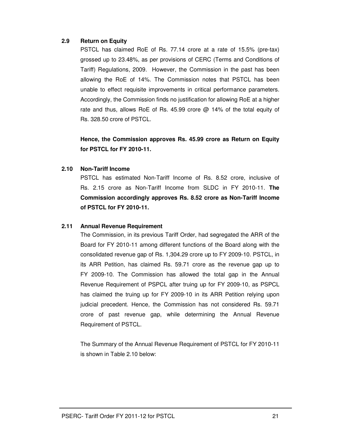#### **2.9 Return on Equity**

PSTCL has claimed RoE of Rs. 77.14 crore at a rate of 15.5% (pre-tax) grossed up to 23.48%, as per provisions of CERC (Terms and Conditions of Tariff) Regulations, 2009. However, the Commission in the past has been allowing the RoE of 14%. The Commission notes that PSTCL has been unable to effect requisite improvements in critical performance parameters. Accordingly, the Commission finds no justification for allowing RoE at a higher rate and thus, allows RoE of Rs. 45.99 crore @ 14% of the total equity of Rs. 328.50 crore of PSTCL.

**Hence, the Commission approves Rs. 45.99 crore as Return on Equity for PSTCL for FY 2010-11.** 

#### **2.10 Non-Tariff Income**

PSTCL has estimated Non-Tariff Income of Rs. 8.52 crore, inclusive of Rs. 2.15 crore as Non-Tariff Income from SLDC in FY 2010-11. **The Commission accordingly approves Rs. 8.52 crore as Non-Tariff Income of PSTCL for FY 2010-11.**

#### **2.11 Annual Revenue Requirement**

The Commission, in its previous Tariff Order, had segregated the ARR of the Board for FY 2010-11 among different functions of the Board along with the consolidated revenue gap of Rs. 1,304.29 crore up to FY 2009-10. PSTCL, in its ARR Petition, has claimed Rs. 59.71 crore as the revenue gap up to FY 2009-10. The Commission has allowed the total gap in the Annual Revenue Requirement of PSPCL after truing up for FY 2009-10, as PSPCL has claimed the truing up for FY 2009-10 in its ARR Petition relying upon judicial precedent. Hence, the Commission has not considered Rs. 59.71 crore of past revenue gap, while determining the Annual Revenue Requirement of PSTCL.

The Summary of the Annual Revenue Requirement of PSTCL for FY 2010-11 is shown in Table 2.10 below: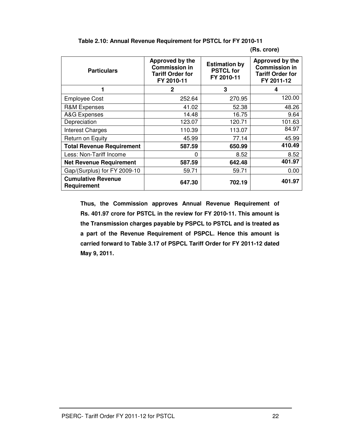| <b>Particulars</b>                       | Approved by the<br><b>Commission in</b><br><b>Tariff Order for</b><br>FY 2010-11 | <b>Estimation by</b><br><b>PSTCL for</b><br>FY 2010-11 | Approved by the<br><b>Commission in</b><br><b>Tariff Order for</b><br>FY 2011-12 |
|------------------------------------------|----------------------------------------------------------------------------------|--------------------------------------------------------|----------------------------------------------------------------------------------|
| 1                                        | 2                                                                                | 3                                                      | 4                                                                                |
| <b>Employee Cost</b>                     | 252.64                                                                           | 270.95                                                 | 120.00                                                                           |
| <b>R&amp;M Expenses</b>                  | 41.02                                                                            | 52.38                                                  | 48.26                                                                            |
| A&G Expenses                             | 14.48                                                                            | 16.75                                                  | 9.64                                                                             |
| Depreciation                             | 123.07                                                                           | 120.71                                                 | 101.63                                                                           |
| <b>Interest Charges</b>                  | 110.39                                                                           | 113.07                                                 | 84.97                                                                            |
| Return on Equity                         | 45.99                                                                            | 77.14                                                  | 45.99                                                                            |
| <b>Total Revenue Requirement</b>         | 587.59                                                                           | 650.99                                                 | 410.49                                                                           |
| Less: Non-Tariff Income                  | <sup>0</sup>                                                                     | 8.52                                                   | 8.52                                                                             |
| <b>Net Revenue Requirement</b>           | 587.59                                                                           | 642.48                                                 | 401.97                                                                           |
| Gap/(Surplus) for FY 2009-10             | 59.71                                                                            | 59.71                                                  | 0.00                                                                             |
| <b>Cumulative Revenue</b><br>Requirement | 647.30                                                                           | 702.19                                                 | 401.97                                                                           |

**Table 2.10: Annual Revenue Requirement for PSTCL for FY 2010-11** 

#### **(Rs. crore)**

**Thus, the Commission approves Annual Revenue Requirement of Rs. 401.97 crore for PSTCL in the review for FY 2010-11. This amount is the Transmission charges payable by PSPCL to PSTCL and is treated as a part of the Revenue Requirement of PSPCL. Hence this amount is carried forward to Table 3.17 of PSPCL Tariff Order for FY 2011-12 dated May 9, 2011.**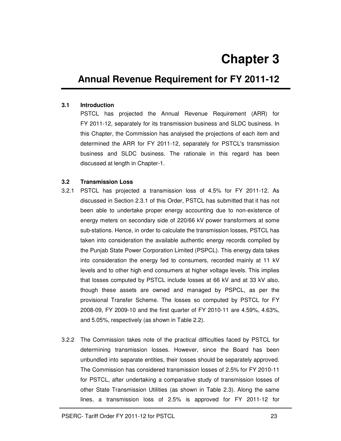# **Annual Revenue Requirement for FY 2011-12**

#### **3.1 Introduction**

PSTCL has projected the Annual Revenue Requirement (ARR) for FY 2011-12, separately for its transmission business and SLDC business. In this Chapter, the Commission has analysed the projections of each item and determined the ARR for FY 2011-12, separately for PSTCL's transmission business and SLDC business. The rationale in this regard has been discussed at length in Chapter-1.

#### **3.2 Transmission Loss**

- 3.2.1 PSTCL has projected a transmission loss of 4.5% for FY 2011-12. As discussed in Section 2.3.1 of this Order, PSTCL has submitted that it has not been able to undertake proper energy accounting due to non-existence of energy meters on secondary side of 220/66 kV power transformers at some sub-stations. Hence, in order to calculate the transmission losses, PSTCL has taken into consideration the available authentic energy records compiled by the Punjab State Power Corporation Limited (PSPCL). This energy data takes into consideration the energy fed to consumers, recorded mainly at 11 kV levels and to other high end consumers at higher voltage levels. This implies that losses computed by PSTCL include losses at 66 kV and at 33 kV also, though these assets are owned and managed by PSPCL, as per the provisional Transfer Scheme. The losses so computed by PSTCL for FY 2008-09, FY 2009-10 and the first quarter of FY 2010-11 are 4.59%, 4.63%, and 5.05%, respectively (as shown in Table 2.2).
- 3.2.2 The Commission takes note of the practical difficulties faced by PSTCL for determining transmission losses. However, since the Board has been unbundled into separate entities, their losses should be separately approved. The Commission has considered transmission losses of 2.5% for FY 2010-11 for PSTCL, after undertaking a comparative study of transmission losses of other State Transmission Utilities (as shown in Table 2.3). Along the same lines, a transmission loss of 2.5% is approved for FY 2011-12 for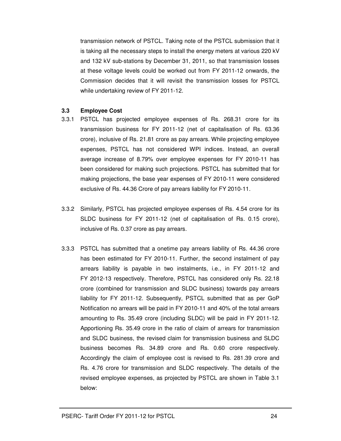transmission network of PSTCL. Taking note of the PSTCL submission that it is taking all the necessary steps to install the energy meters at various 220 kV and 132 kV sub-stations by December 31, 2011, so that transmission losses at these voltage levels could be worked out from FY 2011-12 onwards, the Commission decides that it will revisit the transmission losses for PSTCL while undertaking review of FY 2011-12.

#### **3.3 Employee Cost**

- 3.3.1 PSTCL has projected employee expenses of Rs. 268.31 crore for its transmission business for FY 2011-12 (net of capitalisation of Rs. 63.36 crore), inclusive of Rs. 21.81 crore as pay arrears. While projecting employee expenses, PSTCL has not considered WPI indices. Instead, an overall average increase of 8.79% over employee expenses for FY 2010-11 has been considered for making such projections. PSTCL has submitted that for making projections, the base year expenses of FY 2010-11 were considered exclusive of Rs. 44.36 Crore of pay arrears liability for FY 2010-11.
- 3.3.2 Similarly, PSTCL has projected employee expenses of Rs. 4.54 crore for its SLDC business for FY 2011-12 (net of capitalisation of Rs. 0.15 crore), inclusive of Rs. 0.37 crore as pay arrears.
- 3.3.3 PSTCL has submitted that a onetime pay arrears liability of Rs. 44.36 crore has been estimated for FY 2010-11. Further, the second instalment of pay arrears liability is payable in two instalments, i.e., in FY 2011-12 and FY 2012-13 respectively. Therefore, PSTCL has considered only Rs. 22.18 crore (combined for transmission and SLDC business) towards pay arrears liability for FY 2011-12. Subsequently, PSTCL submitted that as per GoP Notification no arrears will be paid in FY 2010-11 and 40% of the total arrears amounting to Rs. 35.49 crore (including SLDC) will be paid in FY 2011-12. Apportioning Rs. 35.49 crore in the ratio of claim of arrears for transmission and SLDC business, the revised claim for transmission business and SLDC business becomes Rs. 34.89 crore and Rs. 0.60 crore respectively. Accordingly the claim of employee cost is revised to Rs. 281.39 crore and Rs. 4.76 crore for transmission and SLDC respectively. The details of the revised employee expenses, as projected by PSTCL are shown in Table 3.1 below: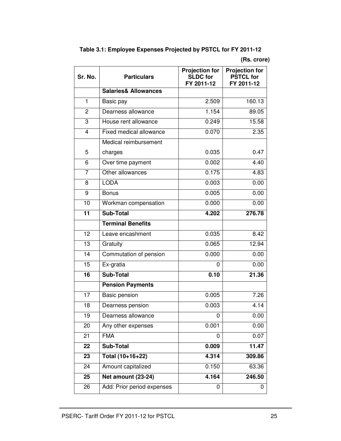| Table 3.1: Employee Expenses Projected by PSTCL for FY 2011-12 |
|----------------------------------------------------------------|
|----------------------------------------------------------------|

# **(Rs. crore)**

| Sr. No.         | <b>Particulars</b>              | <b>Projection for</b><br><b>SLDC</b> for<br>FY 2011-12 | <b>Projection for</b><br><b>PSTCL for</b><br>FY 2011-12 |
|-----------------|---------------------------------|--------------------------------------------------------|---------------------------------------------------------|
|                 | <b>Salaries&amp; Allowances</b> |                                                        |                                                         |
| $\mathbf{1}$    | Basic pay                       | 2.509                                                  | 160.13                                                  |
| $\overline{2}$  | Dearness allowance              | 1.154                                                  | 89.05                                                   |
| 3               | House rent allowance            | 0.249                                                  | 15.58                                                   |
| $\overline{4}$  | Fixed medical allowance         | 0.070                                                  | 2.35                                                    |
|                 | Medical reimbursement           |                                                        |                                                         |
| 5               | charges                         | 0.035                                                  | 0.47                                                    |
| 6               | Over time payment               | 0.002                                                  | 4.40                                                    |
| $\overline{7}$  | Other allowances                | 0.175                                                  | 4.83                                                    |
| 8               | <b>LODA</b>                     | 0.003                                                  | 0.00                                                    |
| 9               | <b>Bonus</b>                    | 0.005                                                  | 0.00                                                    |
| 10              | Workman compensation            | 0.000                                                  | 0.00                                                    |
| 11              | Sub-Total                       | 4.202                                                  | 276.78                                                  |
|                 | <b>Terminal Benefits</b>        |                                                        |                                                         |
| 12              | Leave encashment                | 0.035                                                  | 8.42                                                    |
| $\overline{13}$ | Gratuity                        | 0.065                                                  | 12.94                                                   |
| 14              | Commutation of pension          | 0.000                                                  | 0.00                                                    |
| $\overline{15}$ | Ex-gratia                       | 0                                                      | 0.00                                                    |
| 16              | <b>Sub-Total</b>                | 0.10                                                   | 21.36                                                   |
|                 | <b>Pension Payments</b>         |                                                        |                                                         |
| 17              | Basic pension                   | 0.005                                                  | 7.26                                                    |
| 18              | Dearness pension                | 0.003                                                  | 4.14                                                    |
| 19              | Dearness allowance              | 0                                                      | 0.00                                                    |
| 20              | Any other expenses              | 0.001                                                  | 0.00                                                    |
| 21              | <b>FMA</b>                      | 0                                                      | 0.07                                                    |
| 22              | <b>Sub-Total</b>                | 0.009                                                  | 11.47                                                   |
| 23              | Total (10+16+22)                | 4.314                                                  | 309.86                                                  |
| 24              | Amount capitalized              | 0.150                                                  | 63.36                                                   |
| 25              | Net amount (23-24)              | 4.164                                                  | 246.50                                                  |
| 26              | Add: Prior period expenses      | 0                                                      | 0                                                       |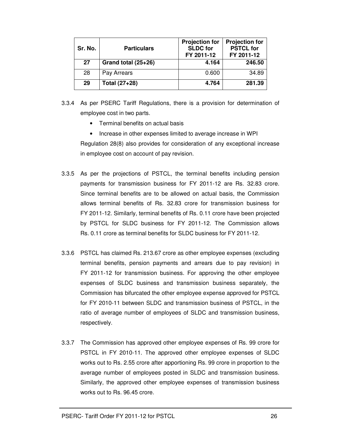| Sr. No. | <b>Particulars</b>  | <b>Projection for</b><br><b>SLDC</b> for<br>FY 2011-12 | <b>Projection for</b><br><b>PSTCL for</b><br>FY 2011-12 |
|---------|---------------------|--------------------------------------------------------|---------------------------------------------------------|
| 27      | Grand total (25+26) | 4.164                                                  | 246.50                                                  |
| 28      | Pay Arrears         | 0.600                                                  | 34.89                                                   |
| 29      | Total (27+28)       | 4.764                                                  | 281.39                                                  |

- 3.3.4 As per PSERC Tariff Regulations, there is a provision for determination of employee cost in two parts.
	- Terminal benefits on actual basis
	- Increase in other expenses limited to average increase in WPI Regulation 28(8) also provides for consideration of any exceptional increase in employee cost on account of pay revision.
- 3.3.5 As per the projections of PSTCL, the terminal benefits including pension payments for transmission business for FY 2011-12 are Rs. 32.83 crore. Since terminal benefits are to be allowed on actual basis, the Commission allows terminal benefits of Rs. 32.83 crore for transmission business for FY 2011-12. Similarly, terminal benefits of Rs. 0.11 crore have been projected by PSTCL for SLDC business for FY 2011-12. The Commission allows Rs. 0.11 crore as terminal benefits for SLDC business for FY 2011-12.
- 3.3.6 PSTCL has claimed Rs. 213.67 crore as other employee expenses (excluding terminal benefits, pension payments and arrears due to pay revision) in FY 2011-12 for transmission business. For approving the other employee expenses of SLDC business and transmission business separately, the Commission has bifurcated the other employee expense approved for PSTCL for FY 2010-11 between SLDC and transmission business of PSTCL, in the ratio of average number of employees of SLDC and transmission business, respectively.
- 3.3.7 The Commission has approved other employee expenses of Rs. 99 crore for PSTCL in FY 2010-11. The approved other employee expenses of SLDC works out to Rs. 2.55 crore after apportioning Rs. 99 crore in proportion to the average number of employees posted in SLDC and transmission business. Similarly, the approved other employee expenses of transmission business works out to Rs. 96.45 crore.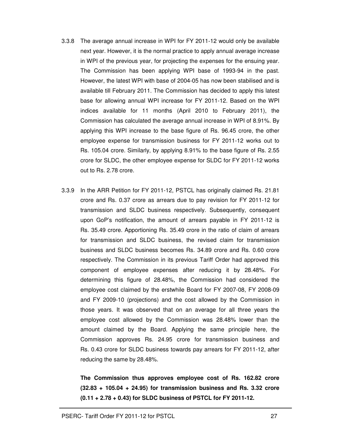- 3.3.8 The average annual increase in WPI for FY 2011-12 would only be available next year. However, it is the normal practice to apply annual average increase in WPI of the previous year, for projecting the expenses for the ensuing year. The Commission has been applying WPI base of 1993-94 in the past. However, the latest WPI with base of 2004-05 has now been stabilised and is available till February 2011. The Commission has decided to apply this latest base for allowing annual WPI increase for FY 2011-12. Based on the WPI indices available for 11 months (April 2010 to February 2011), the Commission has calculated the average annual increase in WPI of 8.91%. By applying this WPI increase to the base figure of Rs. 96.45 crore, the other employee expense for transmission business for FY 2011-12 works out to Rs. 105.04 crore. Similarly, by applying 8.91% to the base figure of Rs. 2.55 crore for SLDC, the other employee expense for SLDC for FY 2011-12 works out to Rs. 2.78 crore.
- 3.3.9 In the ARR Petition for FY 2011-12, PSTCL has originally claimed Rs. 21.81 crore and Rs. 0.37 crore as arrears due to pay revision for FY 2011-12 for transmission and SLDC business respectively. Subsequently, consequent upon GoP's notification, the amount of arrears payable in FY 2011-12 is Rs. 35.49 crore. Apportioning Rs. 35.49 crore in the ratio of claim of arrears for transmission and SLDC business, the revised claim for transmission business and SLDC business becomes Rs. 34.89 crore and Rs. 0.60 crore respectively. The Commission in its previous Tariff Order had approved this component of employee expenses after reducing it by 28.48%. For determining this figure of 28.48%, the Commission had considered the employee cost claimed by the erstwhile Board for FY 2007-08, FY 2008-09 and FY 2009-10 (projections) and the cost allowed by the Commission in those years. It was observed that on an average for all three years the employee cost allowed by the Commission was 28.48% lower than the amount claimed by the Board. Applying the same principle here, the Commission approves Rs. 24.95 crore for transmission business and Rs. 0.43 crore for SLDC business towards pay arrears for FY 2011-12, after reducing the same by 28.48%.

**The Commission thus approves employee cost of Rs. 162.82 crore (32.83 + 105.04 + 24.95) for transmission business and Rs. 3.32 crore (0.11 + 2.78 + 0.43) for SLDC business of PSTCL for FY 2011-12.**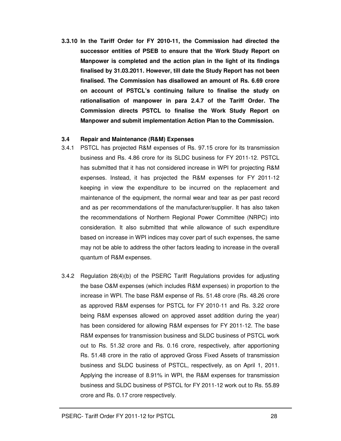**3.3.10 In the Tariff Order for FY 2010-11, the Commission had directed the successor entities of PSEB to ensure that the Work Study Report on Manpower is completed and the action plan in the light of its findings finalised by 31.03.2011. However, till date the Study Report has not been finalised. The Commission has disallowed an amount of Rs. 6.69 crore on account of PSTCL's continuing failure to finalise the study on rationalisation of manpower in para 2.4.7 of the Tariff Order. The Commission directs PSTCL to finalise the Work Study Report on Manpower and submit implementation Action Plan to the Commission.** 

#### **3.4 Repair and Maintenance (R&M) Expenses**

- 3.4.1 PSTCL has projected R&M expenses of Rs. 97.15 crore for its transmission business and Rs. 4.86 crore for its SLDC business for FY 2011-12. PSTCL has submitted that it has not considered increase in WPI for projecting R&M expenses. Instead, it has projected the R&M expenses for FY 2011-12 keeping in view the expenditure to be incurred on the replacement and maintenance of the equipment, the normal wear and tear as per past record and as per recommendations of the manufacturer/supplier. It has also taken the recommendations of Northern Regional Power Committee (NRPC) into consideration. It also submitted that while allowance of such expenditure based on increase in WPI indices may cover part of such expenses, the same may not be able to address the other factors leading to increase in the overall quantum of R&M expenses.
- 3.4.2 Regulation 28(4)(b) of the PSERC Tariff Regulations provides for adjusting the base O&M expenses (which includes R&M expenses) in proportion to the increase in WPI. The base R&M expense of Rs. 51.48 crore (Rs. 48.26 crore as approved R&M expenses for PSTCL for FY 2010-11 and Rs. 3.22 crore being R&M expenses allowed on approved asset addition during the year) has been considered for allowing R&M expenses for FY 2011-12. The base R&M expenses for transmission business and SLDC business of PSTCL work out to Rs. 51.32 crore and Rs. 0.16 crore, respectively, after apportioning Rs. 51.48 crore in the ratio of approved Gross Fixed Assets of transmission business and SLDC business of PSTCL, respectively, as on April 1, 2011. Applying the increase of 8.91% in WPI, the R&M expenses for transmission business and SLDC business of PSTCL for FY 2011-12 work out to Rs. 55.89 crore and Rs. 0.17 crore respectively.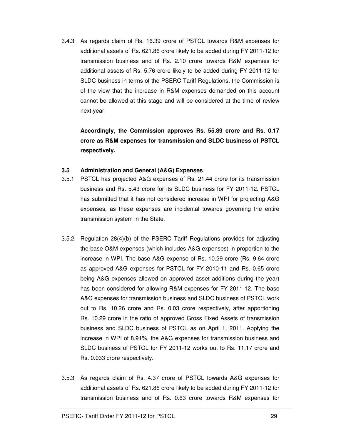3.4.3 As regards claim of Rs. 16.39 crore of PSTCL towards R&M expenses for additional assets of Rs. 621.86 crore likely to be added during FY 2011-12 for transmission business and of Rs. 2.10 crore towards R&M expenses for additional assets of Rs. 5.76 crore likely to be added during FY 2011-12 for SLDC business in terms of the PSERC Tariff Regulations, the Commission is of the view that the increase in R&M expenses demanded on this account cannot be allowed at this stage and will be considered at the time of review next year.

**Accordingly, the Commission approves Rs. 55.89 crore and Rs. 0.17 crore as R&M expenses for transmission and SLDC business of PSTCL respectively.** 

#### **3.5 Administration and General (A&G) Expenses**

- 3.5.1 PSTCL has projected A&G expenses of Rs. 21.44 crore for its transmission business and Rs. 5.43 crore for its SLDC business for FY 2011-12. PSTCL has submitted that it has not considered increase in WPI for projecting A&G expenses, as these expenses are incidental towards governing the entire transmission system in the State.
- 3.5.2 Regulation 28(4)(b) of the PSERC Tariff Regulations provides for adjusting the base O&M expenses (which includes A&G expenses) in proportion to the increase in WPI. The base A&G expense of Rs. 10.29 crore (Rs. 9.64 crore as approved A&G expenses for PSTCL for FY 2010-11 and Rs. 0.65 crore being A&G expenses allowed on approved asset additions during the year) has been considered for allowing R&M expenses for FY 2011-12. The base A&G expenses for transmission business and SLDC business of PSTCL work out to Rs. 10.26 crore and Rs. 0.03 crore respectively, after apportioning Rs. 10.29 crore in the ratio of approved Gross Fixed Assets of transmission business and SLDC business of PSTCL as on April 1, 2011. Applying the increase in WPI of 8.91%, the A&G expenses for transmission business and SLDC business of PSTCL for FY 2011-12 works out to Rs. 11.17 crore and Rs. 0.033 crore respectively.
- 3.5.3 As regards claim of Rs. 4.37 crore of PSTCL towards A&G expenses for additional assets of Rs. 621.86 crore likely to be added during FY 2011-12 for transmission business and of Rs. 0.63 crore towards R&M expenses for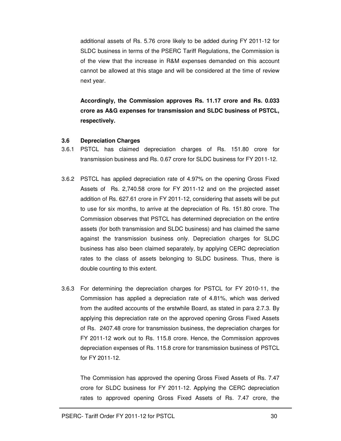additional assets of Rs. 5.76 crore likely to be added during FY 2011-12 for SLDC business in terms of the PSERC Tariff Regulations, the Commission is of the view that the increase in R&M expenses demanded on this account cannot be allowed at this stage and will be considered at the time of review next year.

**Accordingly, the Commission approves Rs. 11.17 crore and Rs. 0.033 crore as A&G expenses for transmission and SLDC business of PSTCL, respectively.** 

#### **3.6 Depreciation Charges**

- 3.6.1 PSTCL has claimed depreciation charges of Rs. 151.80 crore for transmission business and Rs. 0.67 crore for SLDC business for FY 2011-12.
- 3.6.2 PSTCL has applied depreciation rate of 4.97% on the opening Gross Fixed Assets of Rs. 2,740.58 crore for FY 2011-12 and on the projected asset addition of Rs. 627.61 crore in FY 2011-12, considering that assets will be put to use for six months, to arrive at the depreciation of Rs. 151.80 crore. The Commission observes that PSTCL has determined depreciation on the entire assets (for both transmission and SLDC business) and has claimed the same against the transmission business only. Depreciation charges for SLDC business has also been claimed separately, by applying CERC depreciation rates to the class of assets belonging to SLDC business. Thus, there is double counting to this extent.
- 3.6.3 For determining the depreciation charges for PSTCL for FY 2010-11, the Commission has applied a depreciation rate of 4.81%, which was derived from the audited accounts of the erstwhile Board, as stated in para 2.7.3. By applying this depreciation rate on the approved opening Gross Fixed Assets of Rs. 2407.48 crore for transmission business, the depreciation charges for FY 2011-12 work out to Rs. 115.8 crore. Hence, the Commission approves depreciation expenses of Rs. 115.8 crore for transmission business of PSTCL for FY 2011-12.

The Commission has approved the opening Gross Fixed Assets of Rs. 7.47 crore for SLDC business for FY 2011-12. Applying the CERC depreciation rates to approved opening Gross Fixed Assets of Rs. 7.47 crore, the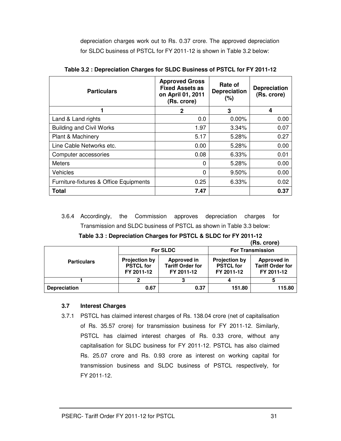depreciation charges work out to Rs. 0.37 crore. The approved depreciation for SLDC business of PSTCL for FY 2011-12 is shown in Table 3.2 below:

| <b>Particulars</b>                     | <b>Approved Gross</b><br><b>Fixed Assets as</b><br>on April 01, 2011<br>(Rs. crore) | Rate of<br><b>Depreciation</b><br>$(\% )$ | <b>Depreciation</b><br>(Rs. crore) |
|----------------------------------------|-------------------------------------------------------------------------------------|-------------------------------------------|------------------------------------|
|                                        | 2                                                                                   | 3                                         | 4                                  |
| Land & Land rights                     | 0.0                                                                                 | $0.00\%$                                  | 0.00                               |
| <b>Building and Civil Works</b>        | 1.97                                                                                | 3.34%                                     | 0.07                               |
| Plant & Machinery                      | 5.17                                                                                | 5.28%                                     | 0.27                               |
| Line Cable Networks etc.               | 0.00                                                                                | 5.28%                                     | 0.00                               |
| Computer accessories                   | 0.08                                                                                | 6.33%                                     | 0.01                               |
| <b>Meters</b>                          | 0                                                                                   | 5.28%                                     | 0.00                               |
| Vehicles                               | 0                                                                                   | 9.50%                                     | 0.00                               |
| Furniture-fixtures & Office Equipments | 0.25                                                                                | 6.33%                                     | 0.02                               |
| Total                                  | 7.47                                                                                |                                           | 0.37                               |

|  |  | Table 3.2 : Depreciation Charges for SLDC Business of PSTCL for FY 2011-12 |
|--|--|----------------------------------------------------------------------------|
|--|--|----------------------------------------------------------------------------|

3.6.4 Accordingly, the Commission approves depreciation charges for Transmission and SLDC business of PSTCL as shown in Table 3.3 below:

**(Rs. crore)** 

|                     |                                                        | <b>For SLDC</b>                                      | <b>For Transmission</b>                                |                                                      |  |
|---------------------|--------------------------------------------------------|------------------------------------------------------|--------------------------------------------------------|------------------------------------------------------|--|
| <b>Particulars</b>  | <b>Projection by</b><br><b>PSTCL for</b><br>FY 2011-12 | Approved in<br><b>Tariff Order for</b><br>FY 2011-12 | <b>Projection by</b><br><b>PSTCL for</b><br>FY 2011-12 | Approved in<br><b>Tariff Order for</b><br>FY 2011-12 |  |
|                     |                                                        |                                                      |                                                        |                                                      |  |
| <b>Depreciation</b> | 0.67                                                   | 0.37                                                 | 151.80                                                 | 115.80                                               |  |

#### **3.7 Interest Charges**

3.7.1 PSTCL has claimed interest charges of Rs. 138.04 crore (net of capitalisation of Rs. 35.57 crore) for transmission business for FY 2011-12. Similarly, PSTCL has claimed interest charges of Rs. 0.33 crore, without any capitalisation for SLDC business for FY 2011-12. PSTCL has also claimed Rs. 25.07 crore and Rs. 0.93 crore as interest on working capital for transmission business and SLDC business of PSTCL respectively, for FY 2011-12.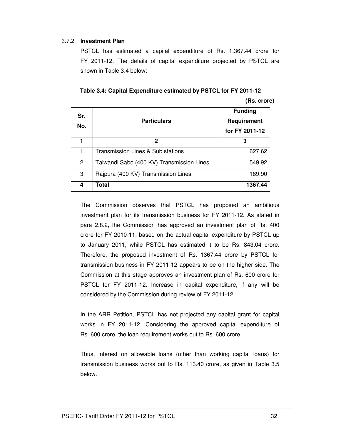#### 3.7.2 **Investment Plan**

PSTCL has estimated a capital expenditure of Rs. 1,367.44 crore for FY 2011-12. The details of capital expenditure projected by PSTCL are shown in Table 3.4 below:

**Table 3.4: Capital Expenditure estimated by PSTCL for FY 2011-12 (Rs. crore)** 

| Sr.<br>No.    | <b>Particulars</b>                        | <b>Funding</b><br>Requirement<br>for FY 2011-12 |  |
|---------------|-------------------------------------------|-------------------------------------------------|--|
|               | 2                                         | 3                                               |  |
|               | Transmission Lines & Sub stations         | 627.62                                          |  |
| $\mathcal{P}$ | Talwandi Sabo (400 KV) Transmission Lines | 549.92                                          |  |
| 3             | Rajpura (400 KV) Transmission Lines       | 189.90                                          |  |
| 4             | Total                                     | 1367.44                                         |  |

The Commission observes that PSTCL has proposed an ambitious investment plan for its transmission business for FY 2011-12. As stated in para 2.8.2, the Commission has approved an investment plan of Rs. 400 crore for FY 2010-11, based on the actual capital expenditure by PSTCL up to January 2011, while PSTCL has estimated it to be Rs. 843.04 crore. Therefore, the proposed investment of Rs. 1367.44 crore by PSTCL for transmission business in FY 2011-12 appears to be on the higher side. The Commission at this stage approves an investment plan of Rs. 600 crore for PSTCL for FY 2011-12. Increase in capital expenditure, if any will be considered by the Commission during review of FY 2011-12.

In the ARR Petition, PSTCL has not projected any capital grant for capital works in FY 2011-12. Considering the approved capital expenditure of Rs. 600 crore, the loan requirement works out to Rs. 600 crore.

Thus, interest on allowable loans (other than working capital loans) for transmission business works out to Rs. 113.40 crore, as given in Table 3.5 below.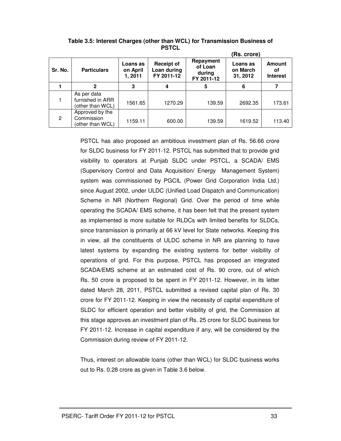|         |                                                     |                                 |                                                |                                              | (Rs. crore)                      |                                        |
|---------|-----------------------------------------------------|---------------------------------|------------------------------------------------|----------------------------------------------|----------------------------------|----------------------------------------|
| Sr. No. | <b>Particulars</b>                                  | Loans as<br>on April<br>1, 2011 | <b>Receipt of</b><br>Loan during<br>FY 2011-12 | Repayment<br>of Loan<br>during<br>FY 2011-12 | Loans as<br>on March<br>31, 2012 | <b>Amount</b><br>οf<br><b>Interest</b> |
|         | 2                                                   | 3                               | 4                                              | 5                                            | 6                                |                                        |
|         | As per data<br>furnished in ARR<br>(other than WCL) | 1561.65                         | 1270.29                                        | 139.59                                       | 2692.35                          | 173.61                                 |
| 2       | Approved by the<br>Commission<br>(other than WCL)   | 1159.11                         | 600.00                                         | 139.59                                       | 1619.52                          | 113.40                                 |

**Table 3.5: Interest Charges (other than WCL) for Transmission Business of PSTCL** 

PSTCL has also proposed an ambitious investment plan of Rs. 56.66 crore for SLDC business for FY 2011-12. PSTCL has submitted that to provide grid visibility to operators at Punjab SLDC under PSTCL, a SCADA/ EMS (Supervisory Control and Data Acquisition/ Energy Management System) system was commissioned by PGCIL (Power Grid Corporation India Ltd.) since August 2002, under ULDC (Unified Load Dispatch and Communication) Scheme in NR (Northern Regional) Grid. Over the period of time while operating the SCADA/ EMS scheme, it has been felt that the present system as implemented is more suitable for RLDCs with limited benefits for SLDCs, since transmission is primarily at 66 kV level for State networks. Keeping this in view, all the constituents of ULDC scheme in NR are planning to have latest systems by expanding the existing systems for better visibility of operations of grid. For this purpose, PSTCL has proposed an integrated SCADA/EMS scheme at an estimated cost of Rs. 90 crore, out of which Rs. 50 crore is proposed to be spent in FY 2011-12. However, in its letter dated March 28, 2011, PSTCL submitted a revised capital plan of Rs. 30 crore for FY 2011-12. Keeping in view the necessity of capital expenditure of SLDC for efficient operation and better visibility of grid, the Commission at this stage approves an investment plan of Rs. 25 crore for SLDC business for FY 2011-12. Increase in capital expenditure if any, will be considered by the Commission during review of FY 2011-12.

Thus, interest on allowable loans (other than WCL) for SLDC business works out to Rs. 0.28 crore as given in Table 3.6 below.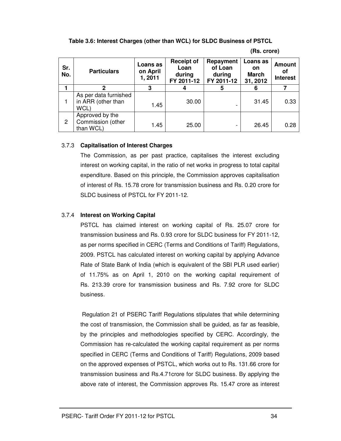**Table 3.6: Interest Charges (other than WCL) for SLDC Business of PSTCL** 

| (Rs. crore) |
|-------------|
|-------------|

| Sr.<br>No. | <b>Particulars</b>                                  | Loans as<br>on April<br>1,2011 | <b>Receipt of</b><br>Loan<br>during<br>FY 2011-12 | Repayment<br>of Loan<br>during<br>FY 2011-12 | Loans as<br>on<br><b>March</b><br>31, 2012 | <b>Amount</b><br>οf<br><b>Interest</b> |
|------------|-----------------------------------------------------|--------------------------------|---------------------------------------------------|----------------------------------------------|--------------------------------------------|----------------------------------------|
|            | 2                                                   | 3                              |                                                   | 5                                            |                                            | 7                                      |
|            | As per data furnished<br>in ARR (other than<br>WCL) | 1.45                           | 30.00                                             |                                              | 31.45                                      | 0.33                                   |
| 2          | Approved by the<br>Commission (other<br>than WCL)   | 1.45                           | 25.00                                             |                                              | 26.45                                      | 0.28                                   |

#### 3.7.3 **Capitalisation of Interest Charges**

The Commission, as per past practice, capitalises the interest excluding interest on working capital, in the ratio of net works in progress to total capital expenditure. Based on this principle, the Commission approves capitalisation of interest of Rs. 15.78 crore for transmission business and Rs. 0.20 crore for SLDC business of PSTCL for FY 2011-12.

# 3.7.4 **Interest on Working Capital**

PSTCL has claimed interest on working capital of Rs. 25.07 crore for transmission business and Rs. 0.93 crore for SLDC business for FY 2011-12, as per norms specified in CERC (Terms and Conditions of Tariff) Regulations, 2009. PSTCL has calculated interest on working capital by applying Advance Rate of State Bank of India (which is equivalent of the SBI PLR used earlier) of 11.75% as on April 1, 2010 on the working capital requirement of Rs. 213.39 crore for transmission business and Rs. 7.92 crore for SLDC business.

 Regulation 21 of PSERC Tariff Regulations stipulates that while determining the cost of transmission, the Commission shall be guided, as far as feasible, by the principles and methodologies specified by CERC. Accordingly, the Commission has re-calculated the working capital requirement as per norms specified in CERC (Terms and Conditions of Tariff) Regulations, 2009 based on the approved expenses of PSTCL, which works out to Rs. 131.66 crore for transmission business and Rs.4.71crore for SLDC business. By applying the above rate of interest, the Commission approves Rs. 15.47 crore as interest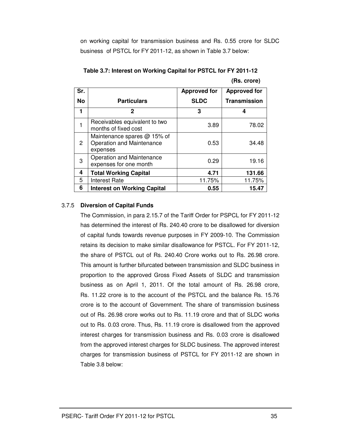on working capital for transmission business and Rs. 0.55 crore for SLDC business of PSTCL for FY 2011-12, as shown in Table 3.7 below:

| Sr.            |                                                                      | <b>Approved for</b> | <b>Approved for</b> |  |
|----------------|----------------------------------------------------------------------|---------------------|---------------------|--|
| No             | <b>Particulars</b>                                                   | <b>SLDC</b>         | <b>Transmission</b> |  |
| 1              | 2                                                                    | 3                   | 4                   |  |
|                | Receivables equivalent to two<br>months of fixed cost                | 3.89                | 78.02               |  |
| $\overline{2}$ | Maintenance spares @ 15% of<br>Operation and Maintenance<br>expenses | 0.53                | 34.48               |  |
| 3              | Operation and Maintenance<br>expenses for one month                  | 0.29                | 19.16               |  |
| 4              | <b>Total Working Capital</b>                                         | 4.71                | 131.66              |  |
| 5              | <b>Interest Rate</b>                                                 | 11.75%              | 11.75%              |  |
| 6              | <b>Interest on Working Capital</b>                                   | 0.55                | 15.47               |  |

**Table 3.7: Interest on Working Capital for PSTCL for FY 2011-12 (Rs. crore)** 

### 3.7.5 **Diversion of Capital Funds**

The Commission, in para 2.15.7 of the Tariff Order for PSPCL for FY 2011-12 has determined the interest of Rs. 240.40 crore to be disallowed for diversion of capital funds towards revenue purposes in FY 2009-10. The Commission retains its decision to make similar disallowance for PSTCL. For FY 2011-12, the share of PSTCL out of Rs. 240.40 Crore works out to Rs. 26.98 crore. This amount is further bifurcated between transmission and SLDC business in proportion to the approved Gross Fixed Assets of SLDC and transmission business as on April 1, 2011. Of the total amount of Rs. 26.98 crore, Rs. 11.22 crore is to the account of the PSTCL and the balance Rs. 15.76 crore is to the account of Government. The share of transmission business out of Rs. 26.98 crore works out to Rs. 11.19 crore and that of SLDC works out to Rs. 0.03 crore. Thus, Rs. 11.19 crore is disallowed from the approved interest charges for transmission business and Rs. 0.03 crore is disallowed from the approved interest charges for SLDC business. The approved interest charges for transmission business of PSTCL for FY 2011-12 are shown in Table 3.8 below: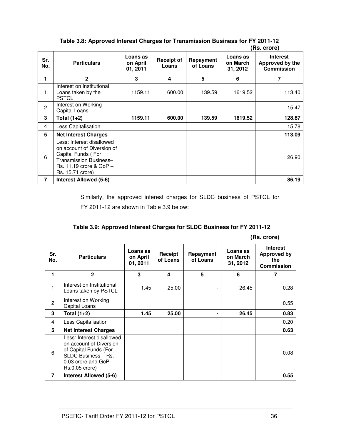|                |                                                                                                                                                            |                                  |                     |                       |                                  | <u>ns. Civiel</u>                                       |
|----------------|------------------------------------------------------------------------------------------------------------------------------------------------------------|----------------------------------|---------------------|-----------------------|----------------------------------|---------------------------------------------------------|
| Sr.<br>No.     | <b>Particulars</b>                                                                                                                                         | Loans as<br>on April<br>01, 2011 | Receipt of<br>Loans | Repayment<br>of Loans | Loans as<br>on March<br>31, 2012 | <b>Interest</b><br>Approved by the<br><b>Commission</b> |
| 1              | $\mathbf{2}$                                                                                                                                               | 3                                | 4                   | 5                     | 6                                | 7                                                       |
| 1              | Interest on Institutional<br>Loans taken by the<br><b>PSTCL</b>                                                                                            | 1159.11                          | 600.00              | 139.59                | 1619.52                          | 113.40                                                  |
| $\overline{c}$ | Interest on Working<br>Capital Loans                                                                                                                       |                                  |                     |                       |                                  | 15.47                                                   |
| 3              | Total (1+2)                                                                                                                                                | 1159.11                          | 600.00              | 139.59                | 1619.52                          | 128.87                                                  |
| 4              | Less Capitalisation                                                                                                                                        |                                  |                     |                       |                                  | 15.78                                                   |
| 5              | <b>Net Interest Charges</b>                                                                                                                                |                                  |                     |                       |                                  | 113.09                                                  |
| 6              | Less: Interest disallowed<br>on account of Diversion of<br>Capital Funds (For<br>Transmission Business-<br>$Rs. 11.19$ crore & $GoP -$<br>Rs. 15.71 crore) |                                  |                     |                       |                                  | 26.90                                                   |
| $\overline{7}$ | <b>Interest Allowed (5-6)</b>                                                                                                                              |                                  |                     |                       |                                  | 86.19                                                   |

**Table 3.8: Approved Interest Charges for Transmission Business for FY 2011-12 (Rs. crore)** 

Similarly, the approved interest charges for SLDC business of PSTCL for FY 2011-12 are shown in Table 3.9 below:

| Table 3.9: Approved Interest Charges for SLDC Business for FY 2011-12 |  |  |  |
|-----------------------------------------------------------------------|--|--|--|
|-----------------------------------------------------------------------|--|--|--|

|  | (Rs. crore) |
|--|-------------|
|  |             |

| Sr.<br>No.     | <b>Particulars</b>                                                                                                                            | Loans as<br>on April<br>01, 2011 | Receipt<br>of Loans | Repayment<br>of Loans | Loans as<br>on March<br>31, 2012 | <b>Interest</b><br><b>Approved by</b><br>the<br><b>Commission</b> |
|----------------|-----------------------------------------------------------------------------------------------------------------------------------------------|----------------------------------|---------------------|-----------------------|----------------------------------|-------------------------------------------------------------------|
| 1              | $\mathbf{2}$                                                                                                                                  | 3                                | 4                   | 5                     | 6                                | 7                                                                 |
|                | Interest on Institutional<br>Loans taken by PSTCL                                                                                             | 1.45                             | 25.00               |                       | 26.45                            | 0.28                                                              |
| $\overline{c}$ | Interest on Working<br>Capital Loans                                                                                                          |                                  |                     |                       |                                  | 0.55                                                              |
| 3              | Total (1+2)                                                                                                                                   | 1.45                             | 25.00               | ۰                     | 26.45                            | 0.83                                                              |
| 4              | Less Capitalisation                                                                                                                           |                                  |                     |                       |                                  | 0.20                                                              |
| 5              | <b>Net Interest Charges</b>                                                                                                                   |                                  |                     |                       |                                  | 0.63                                                              |
| 6              | Less: Interest disallowed<br>on account of Diversion<br>of Capital Funds (For<br>SLDC Business - Rs.<br>0.03 crore and GoP-<br>Rs.0.05 crore) |                                  |                     |                       |                                  | 0.08                                                              |
| $\overline{7}$ | Interest Allowed (5-6)                                                                                                                        |                                  |                     |                       |                                  | 0.55                                                              |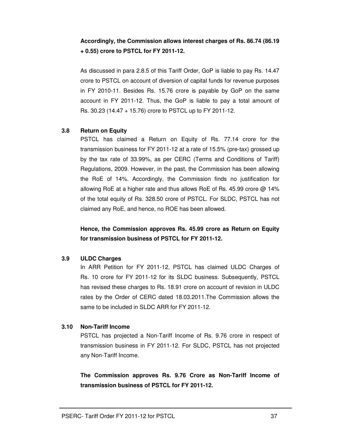# **Accordingly, the Commission allows interest charges of Rs. 86.74 (86.19 + 0.55) crore to PSTCL for FY 2011-12.**

As discussed in para 2.8.5 of this Tariff Order, GoP is liable to pay Rs. 14.47 crore to PSTCL on account of diversion of capital funds for revenue purposes in FY 2010-11. Besides Rs. 15.76 crore is payable by GoP on the same account in FY 2011-12. Thus, the GoP is liable to pay a total amount of Rs. 30.23 (14.47 + 15.76) crore to PSTCL up to FY 2011-12.

#### **3.8 Return on Equity**

PSTCL has claimed a Return on Equity of Rs. 77.14 crore for the transmission business for FY 2011-12 at a rate of 15.5% (pre-tax) grossed up by the tax rate of 33.99%, as per CERC (Terms and Conditions of Tariff) Regulations, 2009. However, in the past, the Commission has been allowing the RoE of 14%. Accordingly, the Commission finds no justification for allowing RoE at a higher rate and thus allows RoE of Rs. 45.99 crore @ 14% of the total equity of Rs. 328.50 crore of PSTCL. For SLDC, PSTCL has not claimed any RoE, and hence, no ROE has been allowed.

**Hence, the Commission approves Rs. 45.99 crore as Return on Equity for transmission business of PSTCL for FY 2011-12.** 

#### **3.9 ULDC Charges**

In ARR Petition for FY 2011-12, PSTCL has claimed ULDC Charges of Rs. 10 crore for FY 2011-12 for its SLDC business. Subsequently, PSTCL has revised these charges to Rs. 18.91 crore on account of revision in ULDC rates by the Order of CERC dated 18.03.2011.The Commission allows the same to be included in SLDC ARR for FY 2011-12.

#### **3.10 Non-Tariff Income**

PSTCL has projected a Non-Tariff Income of Rs. 9.76 crore in respect of transmission business in FY 2011-12. For SLDC, PSTCL has not projected any Non-Tariff Income.

**The Commission approves Rs. 9.76 Crore as Non-Tariff Income of transmission business of PSTCL for FY 2011-12.**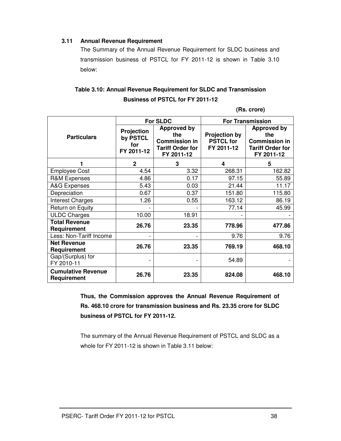#### **3.11 Annual Revenue Requirement**

The Summary of the Annual Revenue Requirement for SLDC business and transmission business of PSTCL for FY 2011-12 is shown in Table 3.10 below:

# **Table 3.10: Annual Revenue Requirement for SLDC and Transmission Business of PSTCL for FY 2011-12**

**(Rs. crore)** 

|                                          | <b>For SLDC</b>                                    |                                                                                            | <b>For Transmission</b>                                |                                                                                            |
|------------------------------------------|----------------------------------------------------|--------------------------------------------------------------------------------------------|--------------------------------------------------------|--------------------------------------------------------------------------------------------|
| <b>Particulars</b>                       | <b>Projection</b><br>by PSTCL<br>for<br>FY 2011-12 | <b>Approved by</b><br>the<br><b>Commission in</b><br><b>Tariff Order for</b><br>FY 2011-12 | <b>Projection by</b><br><b>PSTCL for</b><br>FY 2011-12 | <b>Approved by</b><br>the<br><b>Commission in</b><br><b>Tariff Order for</b><br>FY 2011-12 |
|                                          | $\mathbf 2$                                        | 3                                                                                          | 4                                                      | 5                                                                                          |
| <b>Employee Cost</b>                     | 4.54                                               | 3.32                                                                                       | 268.31                                                 | 162.82                                                                                     |
| <b>R&amp;M Expenses</b>                  | 4.86                                               | 0.17                                                                                       | 97.15                                                  | 55.89                                                                                      |
| <b>A&amp;G Expenses</b>                  | 5.43                                               | 0.03                                                                                       | 21.44                                                  | 11.17                                                                                      |
| Depreciation                             | 0.67                                               | 0.37                                                                                       | 151.80                                                 | 115.80                                                                                     |
| <b>Interest Charges</b>                  | 1.26                                               | 0.55                                                                                       | 163.12                                                 | 86.19                                                                                      |
| Return on Equity                         |                                                    |                                                                                            | 77.14                                                  | 45.99                                                                                      |
| <b>ULDC Charges</b>                      | 10.00                                              | 18.91                                                                                      |                                                        |                                                                                            |
| <b>Total Revenue</b><br>Requirement      | 26.76                                              | 23.35                                                                                      | 778.96                                                 | 477.86                                                                                     |
| Less: Non-Tariff Income                  |                                                    | $\qquad \qquad \blacksquare$                                                               | 9.76                                                   | 9.76                                                                                       |
| <b>Net Revenue</b><br>Requirement        | 26.76                                              | 23.35                                                                                      | 769.19                                                 | 468.10                                                                                     |
| Gap/(Surplus) for<br>FY 2010-11          |                                                    |                                                                                            | 54.89                                                  |                                                                                            |
| <b>Cumulative Revenue</b><br>Requirement | 26.76                                              | 23.35                                                                                      | 824.08                                                 | 468.10                                                                                     |

**Thus, the Commission approves the Annual Revenue Requirement of Rs. 468.10 crore for transmission business and Rs. 23.35 crore for SLDC business of PSTCL for FY 2011-12.** 

The summary of the Annual Revenue Requirement of PSTCL and SLDC as a whole for FY 2011-12 is shown in Table 3.11 below: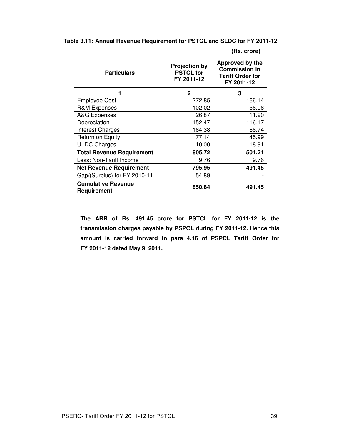| Table 3.11: Annual Revenue Requirement for PSTCL and SLDC for FY 2011-12 |  |  |
|--------------------------------------------------------------------------|--|--|
|--------------------------------------------------------------------------|--|--|

**(Rs. crore)**

| <b>Particulars</b>                              | <b>Projection by</b><br><b>PSTCL for</b><br>FY 2011-12 | Approved by the<br><b>Commission in</b><br><b>Tariff Order for</b><br>FY 2011-12 |  |
|-------------------------------------------------|--------------------------------------------------------|----------------------------------------------------------------------------------|--|
| 1                                               | $\mathbf{2}$                                           | 3                                                                                |  |
| <b>Employee Cost</b>                            | 272.85                                                 | 166.14                                                                           |  |
| <b>R&amp;M Expenses</b>                         | 102.02                                                 | 56.06                                                                            |  |
| A&G Expenses                                    | 26.87                                                  | 11.20                                                                            |  |
| Depreciation                                    | 152.47                                                 | 116.17                                                                           |  |
| <b>Interest Charges</b>                         | 164.38                                                 | 86.74                                                                            |  |
| Return on Equity                                | 77.14                                                  | 45.99                                                                            |  |
| <b>ULDC Charges</b>                             | 10.00                                                  | 18.91                                                                            |  |
| <b>Total Revenue Requirement</b>                | 805.72                                                 | 501.21                                                                           |  |
| Less: Non-Tariff Income                         | 9.76                                                   | 9.76                                                                             |  |
| <b>Net Revenue Requirement</b>                  | 795.95                                                 | 491.45                                                                           |  |
| Gap/(Surplus) for FY 2010-11                    | 54.89                                                  |                                                                                  |  |
| <b>Cumulative Revenue</b><br><b>Requirement</b> | 850.84                                                 | 491.45                                                                           |  |

**The ARR of Rs. 491.45 crore for PSTCL for FY 2011-12 is the transmission charges payable by PSPCL during FY 2011-12. Hence this amount is carried forward to para 4.16 of PSPCL Tariff Order for FY 2011-12 dated May 9, 2011.**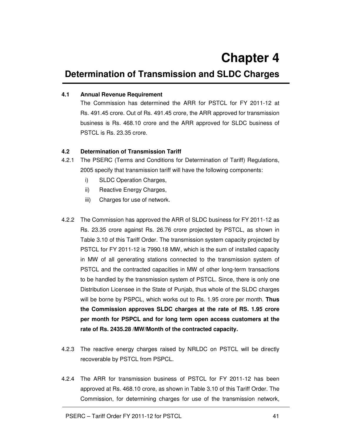# **Determination of Transmission and SLDC Charges**

#### **4.1 Annual Revenue Requirement**

The Commission has determined the ARR for PSTCL for FY 2011-12 at Rs. 491.45 crore. Out of Rs. 491.45 crore, the ARR approved for transmission business is Rs. 468.10 crore and the ARR approved for SLDC business of PSTCL is Rs. 23.35 crore.

#### **4.2 Determination of Transmission Tariff**

- 4.2.1 The PSERC (Terms and Conditions for Determination of Tariff) Regulations, 2005 specify that transmission tariff will have the following components:
	- i) SLDC Operation Charges,
	- ii) Reactive Energy Charges,
	- iii) Charges for use of network.
- 4.2.2 The Commission has approved the ARR of SLDC business for FY 2011-12 as Rs. 23.35 crore against Rs. 26.76 crore projected by PSTCL, as shown in Table 3.10 of this Tariff Order. The transmission system capacity projected by PSTCL for FY 2011-12 is 7990.18 MW, which is the sum of installed capacity in MW of all generating stations connected to the transmission system of PSTCL and the contracted capacities in MW of other long-term transactions to be handled by the transmission system of PSTCL. Since, there is only one Distribution Licensee in the State of Punjab, thus whole of the SLDC charges will be borne by PSPCL, which works out to Rs. 1.95 crore per month. **Thus the Commission approves SLDC charges at the rate of RS. 1.95 crore per month for PSPCL and for long term open access customers at the rate of Rs. 2435.28 /MW/Month of the contracted capacity.**
- 4.2.3 The reactive energy charges raised by NRLDC on PSTCL will be directly recoverable by PSTCL from PSPCL.
- 4.2.4 The ARR for transmission business of PSTCL for FY 2011-12 has been approved at Rs. 468.10 crore, as shown in Table 3.10 of this Tariff Order. The Commission, for determining charges for use of the transmission network,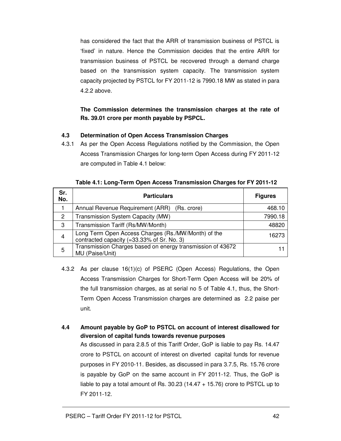has considered the fact that the ARR of transmission business of PSTCL is 'fixed' in nature. Hence the Commission decides that the entire ARR for transmission business of PSTCL be recovered through a demand charge based on the transmission system capacity. The transmission system capacity projected by PSTCL for FY 2011-12 is 7990.18 MW as stated in para 4.2.2 above.

# **The Commission determines the transmission charges at the rate of Rs. 39.01 crore per month payable by PSPCL.**

### **4.3 Determination of Open Access Transmission Charges**

4.3.1 As per the Open Access Regulations notified by the Commission, the Open Access Transmission Charges for long-term Open Access during FY 2011-12 are computed in Table 4.1 below:

| Sr.<br>No.     | <b>Particulars</b>                                                                                | <b>Figures</b> |
|----------------|---------------------------------------------------------------------------------------------------|----------------|
|                | Annual Revenue Requirement (ARR) (Rs. crore)                                                      | 468.10         |
| 2              | Transmission System Capacity (MW)                                                                 | 7990.18        |
| 3              | Transmission Tariff (Rs/MW/Month)                                                                 | 48820          |
| $\overline{4}$ | Long Term Open Access Charges (Rs./MW/Month) of the<br>contracted capacity (=33.33% of Sr. No. 3) | 16273          |
| 5              | Transmission Charges based on energy transmission of 43672<br>MU (Paise/Unit)                     |                |

**Table 4.1: Long-Term Open Access Transmission Charges for FY 2011-12** 

- 4.3.2 As per clause 16(1)(c) of PSERC (Open Access) Regulations, the Open Access Transmission Charges for Short-Term Open Access will be 20% of the full transmission charges, as at serial no 5 of Table 4.1, thus, the Short-Term Open Access Transmission charges are determined as 2.2 paise per unit.
- **4.4 Amount payable by GoP to PSTCL on account of interest disallowed for diversion of capital funds towards revenue purposes** As discussed in para 2.8.5 of this Tariff Order, GoP is liable to pay Rs. 14.47 crore to PSTCL on account of interest on diverted capital funds for revenue purposes in FY 2010-11. Besides, as discussed in para 3.7.5, Rs. 15.76 crore is payable by GoP on the same account in FY 2011-12. Thus, the GoP is liable to pay a total amount of Rs. 30.23 (14.47 + 15.76) crore to PSTCL up to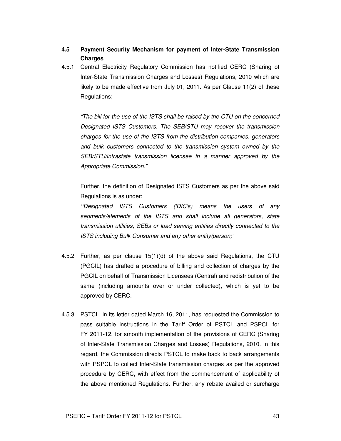# **4.5 Payment Security Mechanism for payment of Inter-State Transmission Charges**

4.5.1 Central Electricity Regulatory Commission has notified CERC (Sharing of Inter-State Transmission Charges and Losses) Regulations, 2010 which are likely to be made effective from July 01, 2011. As per Clause 11(2) of these Regulations:

"The bill for the use of the ISTS shall be raised by the CTU on the concerned Designated ISTS Customers. The SEB/STU may recover the transmission charges for the use of the ISTS from the distribution companies, generators and bulk customers connected to the transmission system owned by the SEB/STU/intrastate transmission licensee in a manner approved by the Appropriate Commission."

Further, the definition of Designated ISTS Customers as per the above said Regulations is as under:

*"*Designated ISTS Customers ('DIC's) means the users of any segments/elements of the ISTS and shall include all generators, state transmission utilities, SEBs or load serving entities directly connected to the ISTS including Bulk Consumer and any other entity/person;"

- 4.5.2 Further, as per clause 15(1)(d) of the above said Regulations, the CTU (PGCIL) has drafted a procedure of billing and collection of charges by the PGCIL on behalf of Transmission Licensees (Central) and redistribution of the same (including amounts over or under collected), which is yet to be approved by CERC.
- 4.5.3 PSTCL, in its letter dated March 16, 2011, has requested the Commission to pass suitable instructions in the Tariff Order of PSTCL and PSPCL for FY 2011-12, for smooth implementation of the provisions of CERC (Sharing of Inter-State Transmission Charges and Losses) Regulations, 2010. In this regard, the Commission directs PSTCL to make back to back arrangements with PSPCL to collect Inter-State transmission charges as per the approved procedure by CERC, with effect from the commencement of applicability of the above mentioned Regulations. Further, any rebate availed or surcharge